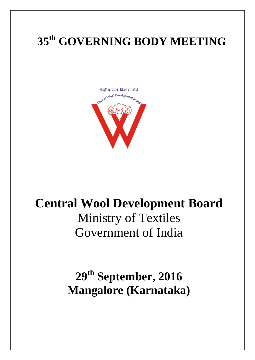# **35 th GOVERNING BODY MEETING**



# **Central Wool Development Board** Ministry of Textiles Government of India

**29 th September, 2016 Mangalore (Karnataka)**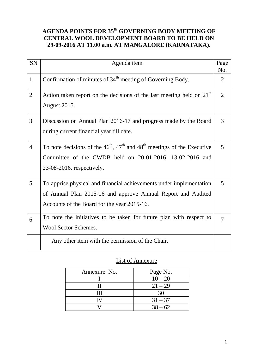### **AGENDA POINTS FOR 35 th GOVERNING BODY MEETING OF CENTRAL WOOL DEVELOPMENT BOARD TO BE HELD ON 29-09-2016 AT 11.00 a.m. AT MANGALORE (KARNATAKA).**

| <b>SN</b>      | Agenda item                                                                                                                                                                                             | Page<br>No.    |
|----------------|---------------------------------------------------------------------------------------------------------------------------------------------------------------------------------------------------------|----------------|
| $\mathbf{1}$   | Confirmation of minutes of 34 <sup>th</sup> meeting of Governing Body.                                                                                                                                  | 2              |
| $\overline{2}$ | Action taken report on the decisions of the last meeting held on $21st$<br>August, 2015.                                                                                                                | $\overline{2}$ |
| 3              | Discussion on Annual Plan 2016-17 and progress made by the Board<br>during current financial year till date.                                                                                            | 3              |
| $\overline{4}$ | To note decisions of the $46^{\text{th}}$ , $47^{\text{th}}$ and $48^{\text{th}}$ meetings of the Executive<br>Committee of the CWDB held on 20-01-2016, 13-02-2016 and<br>$23-08-2016$ , respectively. | 5              |
| 5              | To apprise physical and financial achievements under implementation<br>of Annual Plan 2015-16 and approve Annual Report and Audited<br>Accounts of the Board for the year 2015-16.                      | 5              |
| 6              | To note the initiatives to be taken for future plan with respect to<br><b>Wool Sector Schemes.</b>                                                                                                      | $\tau$         |
|                | Any other item with the permission of the Chair.                                                                                                                                                        |                |

### List of Annexure

| Annexure No. | Page No.  |
|--------------|-----------|
|              | $10 - 20$ |
|              | $21 - 29$ |
| .            | 30        |
|              | $31 - 37$ |
|              | $38 - 62$ |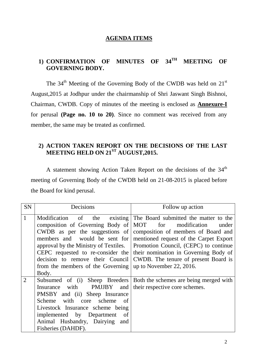### **AGENDA ITEMS**

# **1) CONFIRMATION OF MINUTES OF 34TH MEETING OF GOVERNING BODY.**

The  $34<sup>th</sup>$  Meeting of the Governing Body of the CWDB was held on  $21<sup>st</sup>$ August,2015 at Jodhpur under the chairmanship of Shri Jaswant Singh Bishnoi, Chairman, CWDB. Copy of minutes of the meeting is enclosed as **Annexure-I** for perusal **(Page no. 10 to 20)**. Since no comment was received from any member, the same may be treated as confirmed.

### **2) ACTION TAKEN REPORT ON THE DECISIONS OF THE LAST MEETING HELD ON 21ST AUGUST,2015.**

A statement showing Action Taken Report on the decisions of the 34<sup>th</sup> meeting of Governing Body of the CWDB held on 21-08-2015 is placed before the Board for kind perusal.

| <b>SN</b>    | Decisions                                                                                                                                                                                                                                                                      | Follow up action                                                                                                                                                                                                                                                                                                                              |  |  |
|--------------|--------------------------------------------------------------------------------------------------------------------------------------------------------------------------------------------------------------------------------------------------------------------------------|-----------------------------------------------------------------------------------------------------------------------------------------------------------------------------------------------------------------------------------------------------------------------------------------------------------------------------------------------|--|--|
| $\mathbf{1}$ | composition of Governing Body of<br>CWDB as per the suggestions of<br>members and would be sent for<br>approval by the Ministry of Textiles.<br>CEPC requested to re-consider the<br>decision to remove their Council<br>from the members of the Governing<br>Body.            | Modification of the existing The Board submitted the matter to the<br>MOT for<br>modification<br>under<br>composition of members of Board and<br>mentioned request of the Carpet Export<br>Promotion Council, (CEPC) to continue<br>their nomination in Governing Body of<br>CWDB. The tenure of present Board is<br>up to November 22, 2016. |  |  |
| 2            | Subsumed of (i) Sheep Breeders<br>Insurance with PMJJBY<br>and<br>PMSBY and (ii) Sheep Insurance<br>Scheme with core<br>scheme<br><sub>of</sub><br>Livestock Insurance scheme being<br>implemented by Department<br>of<br>Animal Husbandry, Dairying and<br>Fisheries (DAHDF). | Both the schemes are being merged with<br>their respective core schemes.                                                                                                                                                                                                                                                                      |  |  |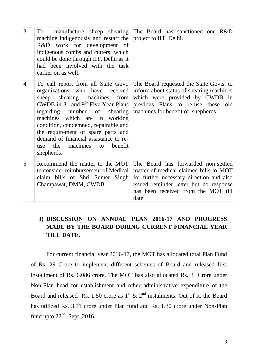| 3              | To<br>machine indigenously and restart the<br>R&D work for development of<br>indigenous combs and cutters, which<br>could be done through IIT, Delhi as it<br>had been involved with the task<br>earlier on as well.                                                                                                                                              | manufacture sheep shearing The Board has sanctioned one R&D<br>project to IIT, Delhi.                                                                                                                                                 |
|----------------|-------------------------------------------------------------------------------------------------------------------------------------------------------------------------------------------------------------------------------------------------------------------------------------------------------------------------------------------------------------------|---------------------------------------------------------------------------------------------------------------------------------------------------------------------------------------------------------------------------------------|
| $\overline{4}$ | organizations who have received<br>shearing machines from<br>sheep<br>CWDB in $8th$ and $9th$ Five Year Plans<br>shearing<br>regarding number of<br>machines which are in working<br>condition, condemned, repairable and<br>the requirement of spare parts and<br>demand of financial assistance to re-<br>the<br>machines<br>benefit<br>to<br>use<br>shepherds. | To call report from all State Govt. The Board requested the State Govts. to<br>inform about status of shearing machines<br>which were provided by CWDB in<br>previous Plans to re-use these old<br>machines for benefit of shepherds. |
| 5              | Recommend the matter to the MOT<br>to consider reimbursement of Medical<br>claim bills of Shri Sumer Singh<br>Champawat, DMM, CWDB.                                                                                                                                                                                                                               | The Board has forwarded non-settled<br>matter of medical claimed bills to MOT<br>for further necessary direction and also<br>issued reminder letter but no response<br>has been received from the MOT till<br>date.                   |

# **3) DISCUSSION ON ANNUAL PLAN 2016-17 AND PROGRESS MADE BY THE BOARD DURING CURRENT FINANCIAL YEAR TILL DATE.**

For current financial year 2016-17, the MOT has allocated total Plan Fund of Rs. 29 Crore to implement different schemes of Board and released first installment of Rs. 6.086 crore. The MOT has also allocated Rs. 3 Crore under Non-Plan head for establishment and other administrative expenditure of the Board and released Rs. 1.50 crore as  $1^{st}$  &  $2^{nd}$  instalments. Out of it, the Board has utilized Rs. 3.71 crore under Plan fund and Rs. 1.30 crore under Non-Plan fund upto  $22<sup>nd</sup>$  Sept., 2016.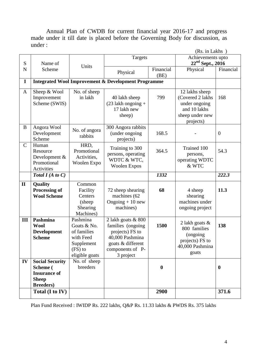Annual Plan of CWDB for current financial year 2016-17 and progress made under it till date is placed before the Governing Body for discussion, as under :

|              |                                                                                                |                                                                                                  |                                                                                                                                     |                   | (Rs. in Lakhs)                                                                                      |              |
|--------------|------------------------------------------------------------------------------------------------|--------------------------------------------------------------------------------------------------|-------------------------------------------------------------------------------------------------------------------------------------|-------------------|-----------------------------------------------------------------------------------------------------|--------------|
| S            | Name of                                                                                        | Units                                                                                            | Targets                                                                                                                             |                   | Achievements upto<br>$22nd$ Sept., 2016                                                             |              |
| $\mathbf N$  | Scheme                                                                                         |                                                                                                  | Physical                                                                                                                            | Financial<br>(BE) | Physical                                                                                            | Financial    |
| $\mathbf I$  |                                                                                                |                                                                                                  | <b>Integrated Wool Improvement &amp; Development Programme</b>                                                                      |                   |                                                                                                     |              |
| $\mathbf{A}$ | Sheep & Wool<br>Improvement<br>Scheme (SWIS)                                                   | No. of sheep<br>in lakh                                                                          | 40 lakh sheep<br>$(23$ lakh ongoing +<br>17 lakh new<br>sheep)                                                                      | 799               | 12 lakhs sheep<br>(Covered 2 lakhs<br>under ongoing<br>and 10 lakhs<br>sheep under new<br>projects) | 168          |
| B            | Angora Wool<br>Development<br>Scheme                                                           | No. of angora<br>rabbits                                                                         | 300 Angora rabbits<br>(under ongoing<br>projects)                                                                                   | 168.5             |                                                                                                     | $\mathbf{0}$ |
| $\mathbf C$  | Human<br>Resource<br>Development &<br>Promotional<br>Activities                                | HRD,<br>Promotional<br>Activities,<br>Woolen Expo                                                | Training to 300<br>persons, operating<br>WDTC & WTC,<br><b>Woolen Expos</b>                                                         | 364.5             | Trained 100<br>persons,<br>operating WDTC<br>& WTC                                                  | 54.3         |
|              | Total $I(A \text{ to } C)$                                                                     |                                                                                                  |                                                                                                                                     | 1332              |                                                                                                     | 222.3        |
| $\mathbf{I}$ | <b>Quality</b><br>Processing of<br><b>Wool Scheme</b>                                          | Common<br>Facility<br>Centers<br>(sheep)<br>Shearing<br>Machines)                                | 72 sheep shearing<br>machines (62<br>Ongoing $+10$ new<br>machines)                                                                 | 68                | 4 sheep<br>shearing<br>machines under<br>ongoing project                                            | 11.3         |
| III          | Pashmina<br><b>Wool</b><br><b>Development</b><br><b>Scheme</b>                                 | Pashmina<br>Goats & No.<br>of families<br>with Feed<br>Supplement<br>$(FS)$ to<br>eligible goats | 2 lakh goats & 800<br>families (ongoing<br>projects) FS to<br>40,000 Pashmina<br>goats & different<br>components of P-<br>3 project | 1500              | 2 lakh goats &<br>800 families<br>(ongoing<br>projects) FS to<br>40,000 Pashmina<br>goats           | 138          |
| IV           | <b>Social Security</b><br>Scheme (<br><b>Insurance of</b><br><b>Sheep</b><br><b>Breeders</b> ) | No. of sheep<br>breeders                                                                         |                                                                                                                                     | $\boldsymbol{0}$  |                                                                                                     | $\bf{0}$     |
|              | Total (I to IV)                                                                                |                                                                                                  |                                                                                                                                     | 2900              |                                                                                                     | 371.6        |

Plan Fund Received : IWIDP Rs. 222 lakhs, Q&P Rs. 11.33 lakhs & PWDS Rs. 375 lakhs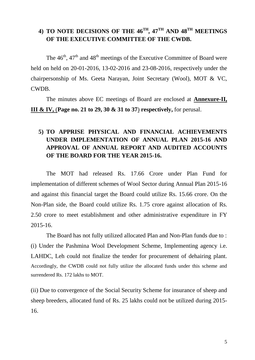# **4) TO NOTE DECISIONS OF THE 46TH, 47TH AND 48TH MEETINGS OF THE EXECUTIVE COMMITTEE OF THE CWDB.**

The  $46<sup>th</sup>$ ,  $47<sup>th</sup>$  and  $48<sup>th</sup>$  meetings of the Executive Committee of Board were held on held on 20-01-2016, 13-02-2016 and 23-08-2016, respectively under the chairpersonship of Ms. Geeta Narayan, Joint Secretary (Wool), MOT & VC, CWDB.

The minutes above EC meetings of Board are enclosed at **Annexure-II, III & IV,** (**Page no. 21 to 29, 30 & 31 to 37**) **respectively,** for perusal.

# **5) TO APPRISE PHYSICAL AND FINANCIAL ACHIEVEMENTS UNDER IMPLEMENTATION OF ANNUAL PLAN 2015-16 AND APPROVAL OF ANNUAL REPORT AND AUDITED ACCOUNTS OF THE BOARD FOR THE YEAR 2015-16.**

The MOT had released Rs. 17.66 Crore under Plan Fund for implementation of different schemes of Wool Sector during Annual Plan 2015-16 and against this financial target the Board could utilize Rs. 15.66 crore. On the Non-Plan side, the Board could utilize Rs. 1.75 crore against allocation of Rs. 2.50 crore to meet establishment and other administrative expenditure in FY 2015-16.

The Board has not fully utilized allocated Plan and Non-Plan funds due to : (i) Under the Pashmina Wool Development Scheme, Implementing agency i.e. LAHDC, Leh could not finalize the tender for procurement of dehairing plant. Accordingly, the CWDB could not fully utilize the allocated funds under this scheme and surrendered Rs. 172 lakhs to MOT.

(ii) Due to convergence of the Social Security Scheme for insurance of sheep and sheep breeders, allocated fund of Rs. 25 lakhs could not be utilized during 2015- 16.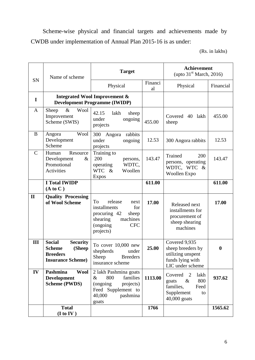Scheme-wise physical and financial targets and achievements made by CWDB under implementation of Annual Plan 2015-16 is as under:

(Rs. in lakhs)

|              | Name of scheme                                                                                                                                                                 | <b>Target</b>                                                                                                                         |               | <b>Achievement</b><br>(upto $31st$ March, 2016)                                                       |                  |
|--------------|--------------------------------------------------------------------------------------------------------------------------------------------------------------------------------|---------------------------------------------------------------------------------------------------------------------------------------|---------------|-------------------------------------------------------------------------------------------------------|------------------|
| SN           |                                                                                                                                                                                | Physical                                                                                                                              | Financi<br>al | Physical                                                                                              | Financial        |
| I            |                                                                                                                                                                                | <b>Integrated Wool Improvement &amp;</b><br><b>Development Programme (IWIDP)</b>                                                      |               |                                                                                                       |                  |
| $\mathbf{A}$ | $\&$<br>Wool<br>Sheep<br>Improvement<br>Scheme (SWIS)                                                                                                                          | 42.15<br>lakh<br>sheep<br>under<br>ongoing<br>projects                                                                                | 455.00        | Covered<br>40 lakh<br>sheep                                                                           | 455.00           |
| B            | Wool<br>Angora<br>Development<br>Scheme                                                                                                                                        | 300<br>Angora<br>rabbits<br>under<br>ongoing<br>projects                                                                              | 12.53         | 300 Angora rabbits                                                                                    | 12.53            |
| $\mathbf C$  | Training to<br>Resource<br>Human<br>200<br>Development<br>$\&$<br>persons,<br>Promotional<br>WDTC,<br>operating<br><b>WTC</b><br>Activities<br>$\&$<br>Woollen<br><b>Expos</b> |                                                                                                                                       | 143.47        | Trained<br>200<br>persons, operating<br>WDTC, WTC<br>$-\&$<br>Woollen Expo                            | 143.47           |
|              | <b>I Total IWIDP</b><br>(A to C)                                                                                                                                               |                                                                                                                                       | 611.00        |                                                                                                       | 611.00           |
| $\mathbf{I}$ | <b>Quality Processing</b><br>of Wool Scheme                                                                                                                                    | release<br>To<br>next<br>installments<br>for<br>procuring 42<br>sheep<br>machines<br>shearing<br>(ongoing)<br><b>CFC</b><br>projects) | 17.00         | Released next<br>installments for<br>procurement of<br>sheep shearing<br>machines                     | 17.00            |
| III          | <b>Social</b><br><b>Security</b><br>(Sheep<br><b>Scheme</b><br><b>Breeders</b><br><b>Insurance Scheme)</b>                                                                     | To cover 10,000 new<br>shepherds<br>under<br><b>Breeders</b><br>Sheep<br>insurance scheme                                             | 25.00         | Covered 9,935<br>sheep breeders by<br>utilizing unspent<br>funds lying with<br>LIC under scheme       | $\boldsymbol{0}$ |
| IV           | Pashmina<br><b>Wool</b><br><b>Development</b><br><b>Scheme (PWDS)</b>                                                                                                          | 2 lakh Pashmina goats<br>$\&$<br>800<br>families<br>(ongoing)<br>projects)<br>Feed Supplement to<br>40,000<br>pashmina<br>goats       | 1113.00       | Covered<br>2<br>lakh<br>$\&$<br>800<br>goats<br>families,<br>Feed<br>Supplement<br>to<br>40,000 goats | 937.62           |
|              | <b>Total</b><br>(I to IV)                                                                                                                                                      |                                                                                                                                       | 1766          |                                                                                                       | 1565.62          |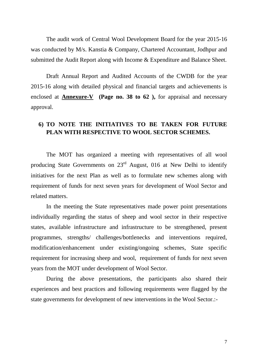The audit work of Central Wool Development Board for the year 2015-16 was conducted by M/s. Kanstia & Company, Chartered Accountant, Jodhpur and submitted the Audit Report along with Income & Expenditure and Balance Sheet.

Draft Annual Report and Audited Accounts of the CWDB for the year 2015-16 along with detailed physical and financial targets and achievements is enclosed at **Annexure-V (Page no. 38 to 62 ),** for appraisal and necessary approval.

### **6) TO NOTE THE INITIATIVES TO BE TAKEN FOR FUTURE PLAN WITH RESPECTIVE TO WOOL SECTOR SCHEMES.**

The MOT has organized a meeting with representatives of all wool producing State Governments on 23<sup>rd</sup> August, 016 at New Delhi to identify initiatives for the next Plan as well as to formulate new schemes along with requirement of funds for next seven years for development of Wool Sector and related matters.

In the meeting the State representatives made power point presentations individually regarding the status of sheep and wool sector in their respective states, available infrastructure and infrastructure to be strengthened, present programmes, strengths/ challenges/bottlenecks and interventions required, modification/enhancement under existing/ongoing schemes, State specific requirement for increasing sheep and wool, requirement of funds for next seven years from the MOT under development of Wool Sector.

During the above presentations, the participants also shared their experiences and best practices and following requirements were flagged by the state governments for development of new interventions in the Wool Sector.:-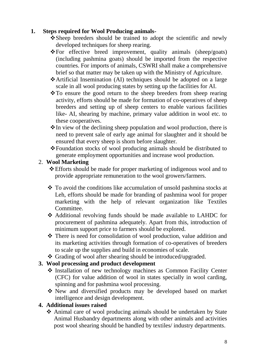### **1. Steps required for Wool Producing animals-**

- Sheep breeders should be trained to adopt the scientific and newly developed techniques for sheep rearing.
- For effective breed improvement, quality animals (sheep/goats) (including pashmina goats) should be imported from the respective countries. For imports of animals, CSWRI shall make a comprehensive brief so that matter may be taken up with the Ministry of Agriculture.
- Artificial Insemination (AI) techniques should be adopted on a large scale in all wool producing states by setting up the facilities for AI.
- $\cdot$ To ensure the good return to the sheep breeders from sheep rearing activity, efforts should be made for formation of co-operatives of sheep breeders and setting up of sheep centers to enable various facilities like- AI, shearing by machine, primary value addition in wool etc. to these cooperatives.
- \* In view of the declining sheep population and wool production, there is need to prevent sale of early age animal for slaughter and it should be ensured that every sheep is shorn before slaughter.
- Foundation stocks of wool producing animals should be distributed to generate employment opportunities and increase wool production.

### 2. **Wool Marketing**

- Efforts should be made for proper marketing of indigenous wool and to provide appropriate remuneration to the wool growers/farmers.
- To avoid the conditions like accumulation of unsold pashmina stocks at Leh, efforts should be made for branding of pashmina wool for proper marketing with the help of relevant organization like Textiles Committee.
- Additional revolving funds should be made available to LAHDC for procurement of pashmina adequately. Apart from this, introduction of minimum support price to farmers should be explored.
- \* There is need for consolidation of wool production, value addition and its marketing activities through formation of co-operatives of breeders to scale up the supplies and build in economies of scale.
- Grading of wool after shearing should be introduced/upgraded.

# **3. Wool processing and product development**

- Installation of new technology machines as Common Facility Center (CFC) for value addition of wool in states specially in wool carding, spinning and for pashmina wool processing.
- New and diversified products may be developed based on market intelligence and design development.

# **4. Additional issues raised**

 Animal care of wool producing animals should be undertaken by State Animal Husbandry departments along with other animals and activities post wool shearing should be handled by textiles/ industry departments.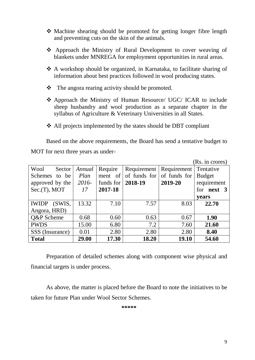- Machine shearing should be promoted for getting longer fibre length and preventing cuts on the skin of the animals.
- Approach the Ministry of Rural Development to cover weaving of blankets under MNREGA for employment opportunities in rural areas.
- A workshop should be organized, in Karnataka, to facilitate sharing of information about best practices followed in wool producing states.
- $\triangle$  The angora rearing activity should be promoted.
- Approach the Ministry of Human Resource/ UGC/ ICAR to include sheep husbandry and wool production as a separate chapter in the syllabus of Agriculture & Veterinary Universities in all States.
- All projects implemented by the states should be DBT compliant

Based on the above requirements, the Board has send a tentative budget to MOT for next three years as under-

|                         |        |           |              |              | (Rs. in crores)   |
|-------------------------|--------|-----------|--------------|--------------|-------------------|
| Wool<br>Sector          | Annual | Require   | Requirement  | Requirement  | Tentative         |
| <b>Schemes</b><br>to be | Plan   | ment of   | of funds for | of funds for | <b>Budget</b>     |
| approved by the         | 2016-  | funds for | 2018-19      | 2019-20      | requirement       |
| $Sec.(T)$ , MOT         | 17     | 2017-18   |              |              | for <b>next</b> 3 |
|                         |        |           |              |              | years             |
| (SWIS,<br><b>IWIDP</b>  | 13.32  | 7.10      | 7.57         | 8.03         | 22.70             |
| Angora, HRD)            |        |           |              |              |                   |
| Q&P Scheme              | 0.68   | 0.60      | 0.63         | 0.67         | 1.90              |
| <b>PWDS</b>             | 15.00  | 6.80      | 7.2          | 7.60         | 21.60             |
| SSS (Insurance)         | 0.01   | 2.80      | 2.80         | 2.80         | 8.40              |
| <b>Total</b>            | 29.00  | 17.30     | 18.20        | 19.10        | 54.60             |

Preparation of detailed schemes along with component wise physical and financial targets is under process.

As above, the matter is placed before the Board to note the initiatives to be taken for future Plan under Wool Sector Schemes.

**\*\*\*\*\***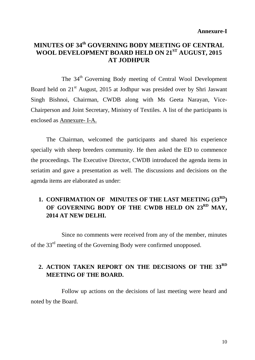# **MINUTES OF 34 th GOVERNING BODY MEETING OF CENTRAL WOOL DEVELOPMENT BOARD HELD ON 21ST AUGUST, 2015 AT JODHPUR**

The 34<sup>th</sup> Governing Body meeting of Central Wool Development Board held on 21<sup>st</sup> August, 2015 at Jodhpur was presided over by Shri Jaswant Singh Bishnoi, Chairman, CWDB along with Ms Geeta Narayan, Vice-Chairperson and Joint Secretary, Ministry of Textiles. A list of the participants is enclosed as Annexure- I-A.

The Chairman, welcomed the participants and shared his experience specially with sheep breeders community. He then asked the ED to commence the proceedings. The Executive Director, CWDB introduced the agenda items in seriatim and gave a presentation as well. The discussions and decisions on the agenda items are elaborated as under:

# **1. CONFIRMATION OF MINUTES OF THE LAST MEETING (33RD) OF GOVERNING BODY OF THE CWDB HELD ON 23RD MAY, 2014 AT NEW DELHI.**

Since no comments were received from any of the member, minutes of the 33<sup>rd</sup> meeting of the Governing Body were confirmed unopposed.

# **2. ACTION TAKEN REPORT ON THE DECISIONS OF THE 33RD MEETING OF THE BOARD.**

Follow up actions on the decisions of last meeting were heard and noted by the Board.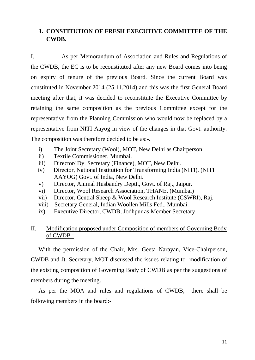### **3. CONSTITUTION OF FRESH EXECUTIVE COMMITTEE OF THE CWDB.**

I. As per Memorandum of Association and Rules and Regulations of the CWDB, the EC is to be reconstituted after any new Board comes into being on expiry of tenure of the previous Board. Since the current Board was constituted in November 2014 (25.11.2014) and this was the first General Board meeting after that, it was decided to reconstitute the Executive Committee by retaining the same composition as the previous Committee except for the representative from the Planning Commission who would now be replaced by a representative from NITI Aayog in view of the changes in that Govt. authority. The composition was therefore decided to be as:-.

- i) The Joint Secretary (Wool), MOT, New Delhi as Chairperson.
- ii) Textile Commissioner, Mumbai.
- iii) Director/ Dy. Secretary (Finance), MOT, New Delhi.
- iv) Director, National Institution for Transforming India (NITI), (NITI AAYOG) Govt. of India, New Delhi.
- v) Director, Animal Husbandry Deptt., Govt. of Raj., Jaipur.
- vi) Director, Wool Research Association, THANE. (Mumbai)
- vii) Director, Central Sheep & Wool Research Institute (CSWRI), Raj.
- viii) Secretary General, Indian Woollen Mills Fed., Mumbai.
- ix) Executive Director, CWDB, Jodhpur as Member Secretary

### II. Modification proposed under Composition of members of Governing Body of CWDB :

With the permission of the Chair, Mrs. Geeta Narayan, Vice-Chairperson, CWDB and Jt. Secretary, MOT discussed the issues relating to modification of the existing composition of Governing Body of CWDB as per the suggestions of members during the meeting.

As per the MOA and rules and regulations of CWDB, there shall be following members in the board:-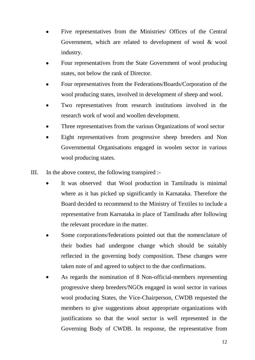- Five representatives from the Ministries/ Offices of the Central Government, which are related to development of wool & wool industry.
- Four representatives from the State Government of wool producing states, not below the rank of Director.
- Four representatives from the Federations/Boards/Corporation of the wool producing states, involved in development of sheep and wool.
- Two representatives from research institutions involved in the research work of wool and woollen development.
- Three representatives from the various Organizations of wool sector
- Eight representatives from progressive sheep breeders and Non Governmental Organisations engaged in woolen sector in various wool producing states.
- III. In the above context, the following transpired :-
	- It was observed that Wool production in Tamilnadu is minimal where as it has picked up significantly in Karnataka. Therefore the Board decided to recommend to the Ministry of Textiles to include a representative from Karnataka in place of Tamilnadu after following the relevant procedure in the matter.
	- Some corporations/federations pointed out that the nomenclature of their bodies had undergone change which should be suitably reflected in the governing body composition. These changes were taken note of and agreed to subject to the due confirmations.
	- As regards the nomination of 8 Non-official-members representing progressive sheep breeders/NGOs engaged in wool sector in various wool producing States, the Vice-Chairperson, CWDB requested the members to give suggestions about appropriate organizations with justifications so that the wool sector is well represented in the Governing Body of CWDB. In response, the representative from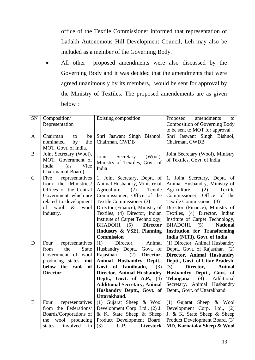office of the Textile Commissioner informed that representation of Ladakh Autonomous Hill Development Council, Leh may also be included as a member of the Governing Body.

All other proposed amendments were also discussed by the Governing Body and it was decided that the amendments that were agreed unanimously by its members, would be sent for approval by the Ministry of Textiles. The proposed amendements are as given below :

| <b>SN</b>     | Composition/                                       | Existing composition                                          | amendments<br>Proposed<br>to                                 |
|---------------|----------------------------------------------------|---------------------------------------------------------------|--------------------------------------------------------------|
|               | Representation                                     |                                                               | <b>Composition of Governing Body</b>                         |
|               |                                                    |                                                               | to be sent to MOT for approval                               |
| $\mathbf{A}$  | Chairman<br>be<br>to                               | Shri Jaswant Singh Bishnoi,                                   | Shri Jaswant Singh Bishnoi,                                  |
|               | nominated<br>by<br>the                             | Chairman, CWDB                                                | Chairman, CWDB                                               |
|               | MOT, Govt. of India.                               |                                                               |                                                              |
| $\bf{B}$      | Joint Secretary (Wool),                            | Joint<br>$(Wool)$ ,<br>Secretary                              | Joint Secretary (Wool), Ministry                             |
|               | MOT, Government of                                 | Ministry of Textiles, Govt. of                                | of Textiles, Govt. of India                                  |
|               | India.<br>(as)<br>Vice                             | India                                                         |                                                              |
|               | Chairman of Board)                                 |                                                               |                                                              |
| $\mathcal{C}$ | Five<br>representatives                            | 1. Joint Secretary, Deptt. of                                 | 1. Joint Secretary, Deptt. of                                |
|               | Ministries/<br>from the                            | Animal Husbandry, Ministry of                                 | Animal Husbandry, Ministry of                                |
|               | Offices of the Central                             | Textile<br>Agriculture<br>(2)                                 | Textile<br>Agriculture<br>(2)                                |
|               | Government, which are                              | Commissioner, Office of the                                   | Commissioner, Office of the                                  |
|               | related to development                             | Textile Commissioner (3)                                      | Textile Commissioner (3)                                     |
|               | of<br>wool<br>$\&$<br>wool                         | Director (Finance), Ministry of                               | Director (Finance), Ministry of                              |
|               | industry.                                          | Textiles, (4) Director, Indian                                | Textiles, (4) Director, Indian                               |
|               |                                                    | Institute of Carpet Technology,                               | Institute of Carpet Technology,                              |
|               |                                                    | <b>Director</b><br>BHADOHI,<br>(5)                            | BHADOHI,<br><b>National</b><br>(5)                           |
|               |                                                    | (Industry & VSE), Planning                                    | <b>Institution for Transforming</b>                          |
|               |                                                    | <b>Commission</b>                                             | India (NITI), Govt. of India                                 |
| D             | representatives<br>Four                            | Animal<br>(1)<br>Director,                                    | (1) Director, Animal Husbandry                               |
|               | the<br><b>State</b><br>from                        | Husbandry Deptt., Govt. of                                    | Deptt., Govt. of Rajasthan (2)                               |
|               | Government of wool                                 | Rajasthan<br>Director,<br>(2)                                 | Director, Animal Husbandry                                   |
|               | producing states, not                              | Animal Husbandry Deptt.,                                      | Deptt., Govt. of Uttar Pradesh,                              |
|               | below the rank of                                  | Govt. of Tamilnadu,<br>(3)                                    | (3)<br>Director,<br><b>Animal</b>                            |
|               | Director.                                          | <b>Director, Animal Husbandry</b>                             | Husbandry Deptt., Govt. of                                   |
|               |                                                    | Deptt., Govt. of A.P., $(4)$                                  | Telangana<br>(4)<br>Additional                               |
|               |                                                    | <b>Additional Secretary, Animal</b>                           | Secretary, Animal Husbandry                                  |
|               |                                                    | Husbandry Deptt., Govt. of                                    | Deptt., Govt. of Uttarakhand                                 |
|               |                                                    | Uttarakhand.                                                  |                                                              |
| ${\bf E}$     | representatives<br>Four                            | (1) Gujarat Sheep $\&$ Wool                                   | (1) Gujarat Sheep $\&$ Wool                                  |
|               | from the Federations/                              | Development Corp. Ltd., (2) J.                                | Development Corp. Ltd., (2)                                  |
|               | Boards/Corporations of                             | & K. State Sheep & Sheep                                      | J. & K. State Sheep & Sheep                                  |
|               |                                                    |                                                               |                                                              |
|               | wool producing<br>the<br>involved<br>in<br>states, | Product Development Board,<br>(3)<br><b>Livestock</b><br>U.P. | Product Development Board, (3)<br>MD, Karnataka Sheep & Wool |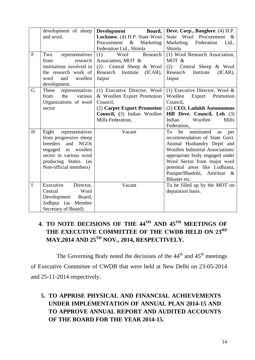|              | development of sheep                           | Development<br>Board,            | Deve. Corp., Banglore. (4) H.P.                        |
|--------------|------------------------------------------------|----------------------------------|--------------------------------------------------------|
|              | and wool.                                      | Lucknow. (4) H.P. State Wool     | State Wool Procurement<br>$\&$                         |
|              |                                                | Procurement<br>$\&$<br>Marketing | Marketing<br>Federation<br>Ltd.,                       |
|              |                                                | Federation Ltd., Shimla          | Shimla                                                 |
| $\mathbf{F}$ | representatives<br>Two                         | (1)<br>Wool<br>Research          | (1) Wool Research Association,                         |
|              | from<br>research                               | Association, MOT &               | MOT &                                                  |
|              | institutions involved in                       | Central Sheep & Wool<br>(2)      | Central Sheep & Wool<br>(2)                            |
|              | the research work of                           | Research Institute<br>$(ICAR)$ , | Research<br>Institute<br>$(ICAR)$ ,                    |
|              | wool<br>and<br>woollen                         | Jaipur                           | Jaipur                                                 |
|              | development.                                   |                                  |                                                        |
| G            | representatives<br>Three                       | (1) Executive Director, Wool     | (1) Executive Director, Wool $\&$                      |
|              | the<br>various<br>from                         | & Woollen Export Promotion       | Woollen<br>Export<br>Promotion                         |
|              | Organizations of wool                          | Council,                         | Council,                                               |
|              | sector                                         | (2) Carpet Export Promotion      | (2) CEO, Ladakh Autonomous                             |
|              |                                                | Council, (3) Indian Woollen      | Hill Deve. Council, Leh (3)                            |
|              |                                                | Mills Federation,                | Indian<br>Woollen<br>Mills                             |
|              |                                                |                                  | Federation,<br>nominated                               |
| H            | representatives<br>Eight                       | Vacant                           | To<br>be<br>as<br>per<br>recommendation of State Govt. |
|              | from progressive sheep<br>breeders<br>and NGOs |                                  | Animal Husbandry Deptt and                             |
|              | engaged in woollen                             |                                  | Woollen Industrial Associations/                       |
|              | sector in various wool                         |                                  | appropriate body engaged under                         |
|              | producing States. (as                          |                                  | Wool Sector from major wool                            |
|              | Non-official members)                          |                                  | potential areas like Ludhiana,                         |
|              |                                                |                                  | Panipat/Bhadohi, Amritsar &                            |
|              |                                                |                                  | Bikaner etc.                                           |
| $\mathbf I$  | Executive<br>Director,                         | Vacant                           | To be filled up by the MOT on                          |
|              | Central<br>Wool                                |                                  | deputation basis.                                      |
|              | Development Board,                             |                                  |                                                        |
|              | Jodhpur (as<br>Member                          |                                  |                                                        |
|              | Secretary of Board).                           |                                  |                                                        |

# **4. TO NOTE DECISIONS OF THE 44TH AND 45TH MEETINGS OF THE EXECUTIVE COMMITTEE OF THE CWDB HELD ON 23RD MAY,2014 AND 25TH NOV., 2014, RESPECTIVELY.**

The Governing Body noted the decisions of the  $44<sup>th</sup>$  and  $45<sup>th</sup>$  meetings of Executive Committee of CWDB that were held at New Delhi on 23-05-2014 and 25-11-2014 respectively.

# **5. TO APPRISE PHYSICAL AND FINANCIAL ACHIEVEMENTS UNDER IMPLEMENTATION OF ANNUAL PLAN 2014-15 AND TO APPROVE ANNUAL REPORT AND AUDITED ACCOUNTS OF THE BOARD FOR THE YEAR 2014-15.**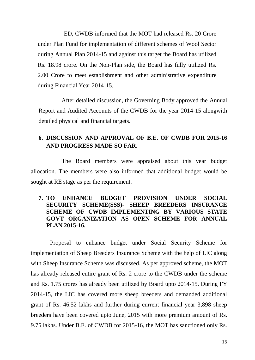ED, CWDB informed that the MOT had released Rs. 20 Crore under Plan Fund for implementation of different schemes of Wool Sector during Annual Plan 2014-15 and against this target the Board has utilized Rs. 18.98 crore. On the Non-Plan side, the Board has fully utilized Rs. 2.00 Crore to meet establishment and other administrative expenditure during Financial Year 2014-15.

After detailed discussion, the Governing Body approved the Annual Report and Audited Accounts of the CWDB for the year 2014-15 alongwith detailed physical and financial targets.

### **6. DISCUSSION AND APPROVAL OF B.E. OF CWDB FOR 2015-16 AND PROGRESS MADE SO FAR.**

The Board members were appraised about this year budget allocation. The members were also informed that additional budget would be sought at RE stage as per the requirement.

### **7. TO ENHANCE BUDGET PROVISION UNDER SOCIAL SECURITY SCHEME(SSS)- SHEEP BREEDERS INSURANCE SCHEME OF CWDB IMPLEMENTING BY VARIOUS STATE GOVT ORGANIZATION AS OPEN SCHEME FOR ANNUAL PLAN 2015-16.**

Proposal to enhance budget under Social Security Scheme for implementation of Sheep Breeders Insurance Scheme with the help of LIC along with Sheep Insurance Scheme was discussed. As per approved scheme, the MOT has already released entire grant of Rs. 2 crore to the CWDB under the scheme and Rs. 1.75 crores has already been utilized by Board upto 2014-15. During FY 2014-15, the LIC has covered more sheep breeders and demanded additional grant of Rs. 46.52 lakhs and further during current financial year 3,898 sheep breeders have been covered upto June, 2015 with more premium amount of Rs. 9.75 lakhs. Under B.E. of CWDB for 2015-16, the MOT has sanctioned only Rs.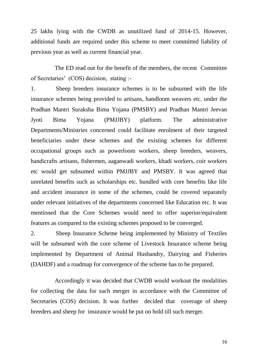25 lakhs lying with the CWDB as unutilized fund of 2014-15. However, additional funds are required under this scheme to meet committed liability of previous year as well as current financial year.

 The ED read out for the benefit of the members, the recent Committee of Secretaries" (COS) decision, stating :-

1. Sheep breeders insurance schemes is to be subsumed with the life insurance schemes being provided to artisans, handloom weavers etc. under the Pradhan Mantri Suraksha Bima Yojana (PMSBY) and Pradhan Mantri Jeevan Jyoti Bima Yojana (PMJJBY) platform. The administrative Departments/Ministries concerned could facilitate enrolment of their targeted beneficiaries under these schemes and the existing schemes for different occupational groups such as powerloom workers, sheep breeders, weavers, handicrafts artisans, fishermen, aaganwadi workers, khadi workers, coir workers etc would get subsumed within PMJJBY and PMSBY. It was agreed that unrelated benefits such as scholarships etc. bundled with core benefits like life and accident insurance in some of the schemes, could be covered separately under relevant initiatives of the departments concerned like Education etc. It was mentioned that the Core Schemes would need to offer superior/equivalent features as compared to the existing schemes proposed to be converged.

2. Sheep Insurance Scheme being implemented by Ministry of Textiles will be subsumed with the core scheme of Livestock Insurance scheme being implemented by Department of Animal Husbandry, Dairying and Fisheries (DAHDF) and a roadmap for convergence of the scheme has to be prepared.

 Accordingly it was decided that CWDB would workout the modalities for collecting the data for such merger in accordance with the Committee of Secretaries (COS) decision. It was further decided that coverage of sheep breeders and sheep for insurance would be put on hold till such merger.

16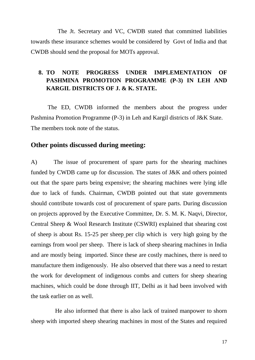The Jt. Secretary and VC, CWDB stated that committed liabilities towards these insurance schemes would be considered by Govt of India and that CWDB should send the proposal for MOTs approval.

# **8. TO NOTE PROGRESS UNDER IMPLEMENTATION OF PASHMINA PROMOTION PROGRAMME (P-3) IN LEH AND KARGIL DISTRICTS OF J. & K. STATE.**

The ED, CWDB informed the members about the progress under Pashmina Promotion Programme (P-3) in Leh and Kargil districts of J&K State. The members took note of the status.

### **Other points discussed during meeting:**

A) The issue of procurement of spare parts for the shearing machines funded by CWDB came up for discussion. The states of J&K and others pointed out that the spare parts being expensive; the shearing machines were lying idle due to lack of funds. Chairman, CWDB pointed out that state governments should contribute towards cost of procurement of spare parts. During discussion on projects approved by the Executive Committee, Dr. S. M. K. Naqvi, Director, Central Sheep & Wool Research Institute (CSWRI) explained that shearing cost of sheep is about Rs. 15-25 per sheep per clip which is very high going by the earnings from wool per sheep. There is lack of sheep shearing machines in India and are mostly being imported. Since these are costly machines, there is need to manufacture them indigenously. He also observed that there was a need to restart the work for development of indigenous combs and cutters for sheep shearing machines, which could be done through IIT, Delhi as it had been involved with the task earlier on as well.

 He also informed that there is also lack of trained manpower to shorn sheep with imported sheep shearing machines in most of the States and required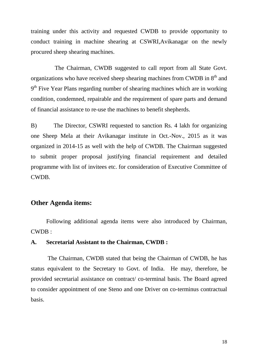training under this activity and requested CWDB to provide opportunity to conduct training in machine shearing at CSWRI,Avikanagar on the newly procured sheep shearing machines.

 The Chairman, CWDB suggested to call report from all State Govt. organizations who have received sheep shearing machines from CWDB in  $8<sup>th</sup>$  and 9<sup>th</sup> Five Year Plans regarding number of shearing machines which are in working condition, condemned, repairable and the requirement of spare parts and demand of financial assistance to re-use the machines to benefit shepherds.

B) The Director, CSWRI requested to sanction Rs. 4 lakh for organizing one Sheep Mela at their Avikanagar institute in Oct.-Nov., 2015 as it was organized in 2014-15 as well with the help of CWDB. The Chairman suggested to submit proper proposal justifying financial requirement and detailed programme with list of invitees etc. for consideration of Executive Committee of CWDB.

### **Other Agenda items:**

Following additional agenda items were also introduced by Chairman, CWDB :

### **A. Secretarial Assistant to the Chairman, CWDB :**

The Chairman, CWDB stated that being the Chairman of CWDB, he has status equivalent to the Secretary to Govt. of India. He may, therefore, be provided secretarial assistance on contract/ co-terminal basis. The Board agreed to consider appointment of one Steno and one Driver on co-terminus contractual basis.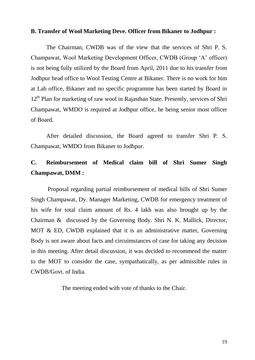#### **B. Transfer of Wool Marketing Deve. Officer from Bikaner to Jodhpur :**

The Chairman, CWDB was of the view that the services of Shri P. S. Champawat, Wool Marketing Development Officer, CWDB (Group "A" officer) is not being fully utilized by the Board from April, 2011 due to his transfer from Jodhpur head office to Wool Testing Centre at Bikaner. There is no work for him at Lab office, Bikaner and no specific programme has been started by Board in  $12<sup>th</sup>$  Plan for marketing of raw wool in Rajasthan State. Presently, services of Shri Champawat, WMDO is required at Jodhpur office, he being senior most officer of Board.

After detailed discussion, the Board agreed to transfer Shri P. S. Champawat, WMDO from Bikaner to Jodhpur.

# **C. Reimbursement of Medical claim bill of Shri Sumer Singh Champawat, DMM :**

Proposal regarding partial reimbursement of medical bills of Shri Sumer Singh Champawat, Dy. Manager Marketing, CWDB for emergency treatment of his wife for total claim amount of Rs. 4 lakh was also brought up by the Chairman & discussed by the Governing Body. Shri N. K. Mallick, Director, MOT & ED, CWDB explained that it is an administrative matter, Governing Body is not aware about facts and circuimstances of case for taking any decision in this meeting. After detail discussion, it was decided to recommend the matter to the MOT to consider the case, sympathatically, as per admissible rules in CWDB/Govt. of India.

The meeting ended with vote of thanks to the Chair.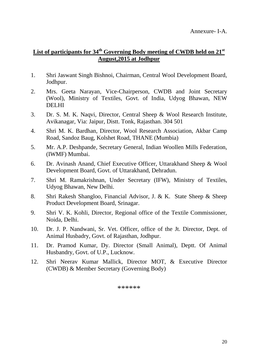## **List of participants for 34th Governing Body meeting of CWDB held on 21st August,2015 at Jodhpur**

- 1. Shri Jaswant Singh Bishnoi, Chairman, Central Wool Development Board, Jodhpur.
- 2. Mrs. Geeta Narayan, Vice-Chairperson, CWDB and Joint Secretary (Wool), Ministry of Textiles, Govt. of India, Udyog Bhawan, NEW DELHI
- 3. Dr. S. M. K. Naqvi, Director, Central Sheep & Wool Research Institute, Avikanagar, Via: Jaipur, Distt. Tonk, Rajasthan. 304 501
- 4. Shri M. K. Bardhan, Director, Wool Research Association, Akbar Camp Road, Sandoz Baug, Kolshet Road, THANE (Mumbia)
- 5. Mr. A.P. Deshpande, Secretary General, Indian Woollen Mills Federation, (IWMF) Mumbai.
- 6. Dr. Avinash Anand, Chief Executive Officer, Uttarakhand Sheep & Wool Development Board, Govt. of Uttarakhand, Dehradun.
- 7. Shri M. Ramakrishnan, Under Secretary (IFW), Ministry of Textiles, Udyog Bhawan, New Delhi.
- 8. Shri Rakesh Shangloo, Financial Advisor, J. & K. State Sheep & Sheep Product Development Board, Srinagar.
- 9. Shri V. K. Kohli, Director, Regional office of the Textile Commissioner, Noida, Delhi.
- 10. Dr. J. P. Nandwani, Sr. Vet. Officer, office of the Jt. Director, Dept. of Animal Husbadry, Govt. of Rajasthan, Jodhpur.
- 11. Dr. Pramod Kumar, Dy. Director (Small Animal), Deptt. Of Animal Husbandry, Govt. of U.P., Lucknow.
- 12. Shri Neerav Kumar Mallick, Director MOT, & Executive Director (CWDB) & Member Secretary (Governing Body)

\*\*\*\*\*\*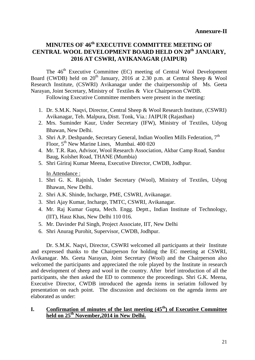## **MINUTES OF 46th EXECUTIVE COMMITTEE MEETING OF CENTRAL WOOL DEVELOPMENT BOARD HELD ON 20th JANUARY, 2016 AT CSWRI, AVIKANAGAR (JAIPUR)**

The 46<sup>th</sup> Executive Committee (EC) meeting of Central Wool Development Board (CWDB) held on  $20<sup>th</sup>$  January, 2016 at 2.30 p.m. at Central Sheep & Wool Research Institute, (CSWRI) Avikanagar under the chairpersonship of Ms. Geeta Narayan, Joint Secretary, Ministry of Textiles & Vice Chairperson CWDB.

Following Executive Committee members were present in the meeting:

- 1. Dr. S.M.K. Naqvi, Director, Central Sheep & Wool Research Institute, (CSWRI) Avikanagar, Teh. Malpura, Distt. Tonk, Via.: JAIPUR (Rajasthan)
- 2. Mrs. Suminder Kaur, Under Secretary (IFW), Ministry of Textiles, Udyog Bhawan, New Delhi.
- 3. Shri A.P. Deshpande, Secretary General, Indian Woollen Mills Federation,  $7<sup>th</sup>$ Floor, 5<sup>th</sup> New Marine Lines, Mumbai. 400 020
- 4. Mr. T.R. Rao, Advisor, Wool Research Association, Akbar Camp Road, Sandoz Baug, Kolshet Road, THANE (Mumbia)
- 5. Shri Giriraj Kumar Meena, Executive Director, CWDB, Jodhpur.

In Attendance :

- 1. Shri G. K. Rajnish, Under Secretary (Wool), Ministry of Textiles, Udyog Bhawan, New Delhi.
- 2. Shri A.K. Shinde, Incharge, PME, CSWRI, Avikanagar.
- 3. Shri Ajay Kumar, Incharge, TMTC, CSWRI, Avikanagar.
- 4. Mr. Raj Kumar Gupta, Mech. Engg. Deptt., Indian Institute of Technology, (IIT), Hauz Khas, New Delhi 110 016.
- 5. Mr. Davinder Pal Singh, Project Associate, IIT, New Delhi
- 6. Shri Anurag Purohit, Supervisor, CWDB, Jodhpur.

Dr. S.M.K. Naqvi, Director, CSWRI welcomed all participants at their Institute and expressed thanks to the Chairperson for holding the EC meeting at CSWRI, Avikanagar. Ms. Geeta Narayan, Joint Secretary (Wool) and the Chairperson also welcomed the participants and appreciated the role played by the Institute in research and development of sheep and wool in the country. After brief introduction of all the participants, she then asked the ED to commence the proceedings. Shri G.K. Meena, Executive Director, CWDB introduced the agenda items in seriatim followed by presentation on each point. The discussion and decisions on the agenda items are elaborated as under:

### **I. Confirmation of minutes of the last meeting (45th) of Executive Committee held on 25th November,2014 in New Delhi.**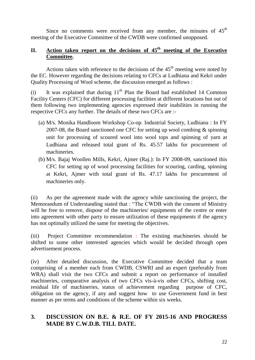Since no comments were received from any member, the minutes of  $45<sup>th</sup>$ meeting of the Executive Committee of the CWDB were confirmed unopposed.

#### II. Action taken report on the decisions of 45<sup>th</sup> meeting of the Executive **Committee.**

Actions taken with reference to the decisions of the  $45<sup>th</sup>$  meeting were noted by the EC. However regarding the decisions relating to CFCs at Ludhiana and Kekri under Quality Processing of Wool scheme, the discussion emerged as follows :

(i) It was explained that during  $11<sup>th</sup>$  Plan the Board had established 14 Common Facility Centers (CFC) for different processing facilities at different locations but out of them following two implementing agencies expressed their inabilities in running the respective CFCs any further. The details of these two CFCs are :-

- (a) M/s. Monika Handloom Workshop Co-op. Industrial Society, Ludhiana : In FY 2007-08, the Board sanctioned one CFC for setting up wool combing & spinning unit for processing of scoured wool into wool tops and spinning of yarn at Ludhiana and released total grant of Rs. 45.57 lakhs for procurement of machineries.
- (b) M/s. Bajaj Woollen Mills, Kekri, Ajmer (Raj.): In FY 2008-09, sanctioned this CFC for setting up of wool processing facilities for scouring, carding, spinning at Kekri, Ajmer with total grant of Rs. 47.17 lakhs for procurement of machineries only.

(ii) As per the agreement made with the agency while sanctioning the project, the Memorandum of Understanding stated that : "The CWDB with the consent of Ministry will be free to remove, dispose of the machineries/ equipments of the centre or enter into agreement with other party to ensure utilization of these equipments if the agency has not optimally utilized the same for meeting the objectives.

(iii) Project Committee recommendation : The existing machineries should be shifted to some other interested agencies which would be decided through open advertisement process.

(iv) After detailed discussion, the Executive Committee decided that a team comprising of a member each from CWDB, CSWRI and an expert (preferably from WRA) shall visit the two CFCs and submit a report on performance of installed machineries, comparative analysis of two CFCs vis-à-vis other CFCs, shifting cost, residual life of machineries, status of achievement regarding purpose of CFC, obligation on the agency, if any and suggest how to use Government fund in best manner as per terms and conditions of the scheme within six weeks.

### **3. DISCUSSION ON B.E. & R.E. OF FY 2015-16 AND PROGRESS MADE BY C.W.D.B. TILL DATE.**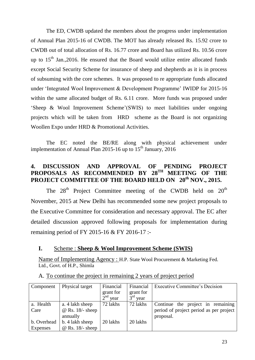The ED, CWDB updated the members about the progress under implementation of Annual Plan 2015-16 of CWDB. The MOT has already released Rs. 15.92 crore to CWDB out of total allocation of Rs. 16.77 crore and Board has utilized Rs. 10.56 crore up to  $15<sup>th</sup>$  Jan., 2016. He ensured that the Board would utilize entire allocated funds except Social Security Scheme for insurance of sheep and shepherds as it is in process of subsuming with the core schemes. It was proposed to re appropriate funds allocated under 'Integrated Wool Improvement & Development Programme' IWIDP for 2015-16 within the same allocated budget of Rs. 6.11 crore. More funds was proposed under 'Sheep & Wool Improvement Scheme'(SWIS) to meet liabilities under ongoing projects which will be taken from HRD scheme as the Board is not organizing Woollen Expo under HRD & Promotional Activities.

The EC noted the BE/RE along with physical achievement under implementation of Annual Plan 2015-16 up to  $15<sup>th</sup>$  January, 2016

### **4. DISCUSSION AND APPROVAL OF PENDING PROJECT**  PROPOSALS AS RECOMMENDED BY 28<sup>TH</sup> MEETING OF THE **PROJECT COMMITTEE OF THE BOARD HELD ON 20th NOV., 2015.**

The  $28<sup>th</sup>$  Project Committee meeting of the CWDB held on  $20<sup>th</sup>$ November, 2015 at New Delhi has recommended some new project proposals to the Executive Committee for consideration and necessary approval. The EC after detailed discussion approved following proposals for implementation during remaining period of FY 2015-16 & FY 2016-17 :-

### **I.** Scheme : **Sheep & Wool Improvement Scheme (SWIS)**

Name of Implementing Agency : H.P. State Wool Procurement & Marketing Fed. Ltd., Govt. of H.P., Shimla

| Component   | Physical target         | Financial  | Financial  | Executive Committee's Decision          |
|-------------|-------------------------|------------|------------|-----------------------------------------|
|             |                         | grant for  | grant for  |                                         |
|             |                         | $2nd$ year | $3rd$ year |                                         |
| a. Health   | a. 4 lakh sheep         | 72 lakhs   | 72 lakhs   | Continue the project in remaining       |
| Care        | $\omega$ Rs. 18/- sheep |            |            | period of project period as per project |
|             | annually                |            |            | proposal.                               |
| b. Overhead | b. 4 lakh sheep         | 20 lakhs   | 20 lakhs   |                                         |
| Expenses    | $\omega$ Rs. 18/- sheep |            |            |                                         |

A. To continue the project in remaining 2 years of project period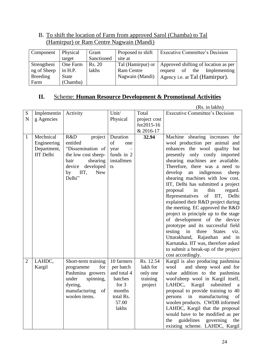### B. To shift the location of Farm from approved Sarol (Chamba) to Tal (Hamirpur) or Ram Centre Nagwain (Mandi)

| Component   | Physical     | Grant      | Proposed to shift | <b>Executive Committee's Decision</b> |
|-------------|--------------|------------|-------------------|---------------------------------------|
|             | target       | Sanctioned | site at           |                                       |
| Strengtheni | One Farm     | Rs. 20     | Tal (Hamirpur) or | Approved shifting of location as per  |
| ng of Sheep | in H.P.      | lakhs      | <b>Ram Centre</b> | Implementing<br>of the<br>request     |
| Breeding    | <b>State</b> |            | Nagwain (Mandi)   | Agency <i>i.e.</i> at Tal (Hamirpur). |
| Farm        | (Chamba)     |            |                   |                                       |

#### **II.** Scheme: **Human Resource Development & Promotional Activities**  I

|                |                  |                                    |                    |              | (Rs. in lakhs)                                                         |
|----------------|------------------|------------------------------------|--------------------|--------------|------------------------------------------------------------------------|
| ${\bf S}$      | Implementin      | Activity                           | Unit/              | Total        | <b>Executive Committee's Decision</b>                                  |
| $\mathbf N$    | g Agencies       |                                    | Physical           | project cost |                                                                        |
|                |                  |                                    |                    | for2015-16   |                                                                        |
|                |                  |                                    |                    | & 2016-17    |                                                                        |
| 1              | Mechnical        | R&D<br>project                     | Duration           | 32.94        | Machine shearing increases<br>the                                      |
|                | Engineering      | entitled                           | of<br>one          |              | wool production per animal and                                         |
|                | Department,      | "Dissemination of                  | year               |              | enhances the wool quality but                                          |
|                | <b>IIT</b> Delhi | the low cost sheep-                | funds in 2         |              | only costly imported<br>presently                                      |
|                |                  | hair<br>shearing                   | installmen         |              | shearing machines are available.                                       |
|                |                  | device developed                   | ts                 |              | Therefore, there was a need to                                         |
|                |                  | <b>New</b><br>IIT,<br>by<br>Delhi" |                    |              | develop<br>indigenous<br>an<br>sheep                                   |
|                |                  |                                    |                    |              | shearing machines with low cost.<br>IIT, Delhi has submitted a project |
|                |                  |                                    |                    |              | this<br>proposal<br>in<br>regard.                                      |
|                |                  |                                    |                    |              | Representatives<br>of IIT,<br>Delhi                                    |
|                |                  |                                    |                    |              | explained their R&D project during                                     |
|                |                  |                                    |                    |              | the meeting. EC approved the R&D                                       |
|                |                  |                                    |                    |              | project in principle up to the stage                                   |
|                |                  |                                    |                    |              | of development of the device                                           |
|                |                  |                                    |                    |              | prototype and its successful field                                     |
|                |                  |                                    |                    |              | testing<br>three<br><b>States</b><br>in<br>viz.                        |
|                |                  |                                    |                    |              | Uttarakhand, Rajasthan and in                                          |
|                |                  |                                    |                    |              | Karnataka. IIT was, therefore asked                                    |
|                |                  |                                    |                    |              | to submit a break-up of the project                                    |
|                |                  |                                    |                    |              | cost accordingly.                                                      |
| $\overline{2}$ | LAHDC,           | Short-term training                | 10 farmers         | Rs. 12.54    | Kargil is also producing pashmina                                      |
|                | Kargil           | programme<br>for                   | per batch          | lakh for     | and sheep wool and for<br>wool                                         |
|                |                  | Pashmina growers                   | and total 4        | only one     | value addition to the pashmina                                         |
|                |                  | under<br>spinning,                 | batches            | training     | wool\sheep wool in Kargil itself,                                      |
|                |                  | dyeing,                            | for $3$            | project      | LAHDC, Kargil<br>submitted<br>a                                        |
|                |                  | manufacturing of                   | months             |              | proposal to provide training to 40                                     |
|                |                  | woolen items.                      | total Rs.<br>57.00 |              | persons in manufacturing of                                            |
|                |                  |                                    | lakhs              |              | woolen products. CWDB informed<br>LAHDC, Kargil that the proposal      |
|                |                  |                                    |                    |              | would have to be modified as per                                       |
|                |                  |                                    |                    |              |                                                                        |
|                |                  |                                    |                    |              | guidelines governing the<br>the                                        |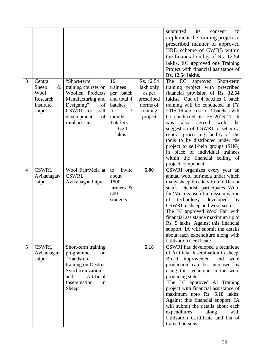|                |             |                     |              |            | submitted<br>its<br>to<br>consent       |
|----------------|-------------|---------------------|--------------|------------|-----------------------------------------|
|                |             |                     |              |            | implement the training project in       |
|                |             |                     |              |            | prescribed manner of approved           |
|                |             |                     |              |            | HRD scheme of CWDB within               |
|                |             |                     |              |            |                                         |
|                |             |                     |              |            | the financial outlay of Rs. 12.54       |
|                |             |                     |              |            | lakhs. EC approved one Training         |
|                |             |                     |              |            | Project with financial assistance of    |
|                |             |                     |              |            | Rs. 12.54 lakhs.                        |
| 3              | Central     | "Short-term         | 10           | Rs. 12.54  | The EC<br>approved<br>Short-term        |
|                | Sheep<br>&  | training courses on | trainees     | lakh only  | training project with prescribed        |
|                | Wool        | Woollen Products    | per batch    | as per     | financial provision of Rs. 12.54        |
|                | Research    | Manufacturing and   | and total 4  | prescribed | lakhs. Out of 4 batches 1 batch         |
|                | Institute,  | Designing"<br>of    | batches      | norms of   | training will be conducted in FY        |
|                | Jaipur      | CSWRI for<br>skill  | 3<br>for     | training   | 2015-16 and rest of 3 batches will      |
|                |             | development<br>of   | months.      | project    | be conducted in FY-2016-17. It          |
|                |             | rural artisans      | Total Rs.    |            | agreed<br>the<br>also<br>with<br>was    |
|                |             |                     | 16.24        |            | suggestion of CSWRI to set up a         |
|                |             |                     | lakhs.       |            | central processing facility of the      |
|                |             |                     |              |            | tools to be distributed under the       |
|                |             |                     |              |            | project to self-help groups (SHG)       |
|                |             |                     |              |            | in place of individual trainees         |
|                |             |                     |              |            | within the financial ceiling of         |
|                |             |                     |              |            | project component.                      |
| $\overline{4}$ | CSWRI,      | Wool Fair/Mela at   | invite<br>to | 5.00       | CSWRI organizes every year an           |
|                | Avikanagar- | CSWRI.              | about        |            | annual wool fair\mela under which       |
|                | Jaipur      | Avikanagar-Jaipur   | 1800         |            | many sheep breeders from different      |
|                |             |                     | farmers &    |            | states, scientists participates. Wool   |
|                |             |                     | 500          |            | fair\Mela is useful in dissemination    |
|                |             |                     | students     |            | technology<br>developed<br>of<br>by     |
|                |             |                     |              |            | CSWRI in sheep and wool sector.         |
|                |             |                     |              |            | The EC approved Wool Fair with          |
|                |             |                     |              |            | financial assistance maximum up to      |
|                |             |                     |              |            | Rs. 5 lakhs. Against this financial     |
|                |             |                     |              |            | support, IA will submit the details     |
|                |             |                     |              |            | about each expenditure along with       |
|                |             |                     |              |            | Utilization Certificate.                |
| 5              | CSWRI,      | Short-term training |              | 5.18       | CSWRI has developed a technique         |
|                | Avikanagar- | programme<br>on     |              |            | of Artificial Insemination in sheep.    |
|                | Jaipur      | "Hands-on-          |              |            | improvement and<br>wool<br><b>Breed</b> |
|                |             | training on Oestrus |              |            | production can be increased by          |
|                |             | Synchro-nization    |              |            | using this technique in the wool        |
|                |             | Artificial<br>and   |              |            | producing states.                       |
|                |             | Insemination<br>in  |              |            | The EC approved AI Training             |
|                |             | Sheep"              |              |            | project with financial assistance of    |
|                |             |                     |              |            | maximum upto Rs. 5.18 lakhs.            |
|                |             |                     |              |            | Against this financial support, IA      |
|                |             |                     |              |            | will submit the details about each      |
|                |             |                     |              |            | expenditures<br>along<br>with           |
|                |             |                     |              |            | Utilization Certificate and list of     |
|                |             |                     |              |            |                                         |
|                |             |                     |              |            | trained persons.                        |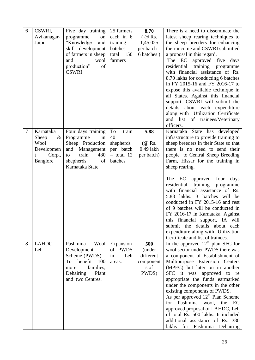| 6      | CSWRI,                  | Five day training              | 25 farmers                  | 8.70               | There is a need to disseminate the                                           |
|--------|-------------------------|--------------------------------|-----------------------------|--------------------|------------------------------------------------------------------------------|
|        | Avikanagar-             | programme<br>on                | each in 6                   | $($ @ Rs.          | latest sheep rearing techniques to                                           |
|        | Jaipur                  | "Knowledge<br>and              | training                    | 1,45,025           | the sheep breeders for enhancing                                             |
|        |                         | skill development              | batches -                   | per batch -        | their income and CSWRI submitted                                             |
|        |                         | of farmers in sheep            | total 150                   | 6 batches)         | a proposal in this regard.                                                   |
|        |                         | wool<br>and                    | farmers                     |                    | The EC<br>approved five<br>days                                              |
|        |                         | production"<br>of              |                             |                    | training programme<br>residential                                            |
|        |                         | <b>CSWRI</b>                   |                             |                    | with financial assistance of Rs.                                             |
|        |                         |                                |                             |                    | 8.70 lakhs for conducting 6 batches                                          |
|        |                         |                                |                             |                    | in FY 2015-16 and FY 2016-17 to                                              |
|        |                         |                                |                             |                    | expose this available technique in                                           |
|        |                         |                                |                             |                    | all States. Against this financial                                           |
|        |                         |                                |                             |                    | support, CSWRI will submit the                                               |
|        |                         |                                |                             |                    | details about each expenditure                                               |
|        |                         |                                |                             |                    | along with Utilization Certificate                                           |
|        |                         |                                |                             |                    | and list<br>of<br>trainees/Veterinary                                        |
|        |                         |                                |                             |                    | officers.                                                                    |
| $\tau$ | Karnataka               | Four days training             | To<br>train                 | 5.88               | Karnataka State has developed                                                |
|        | Sheep<br>$\&$           | Programme<br>in                | 40                          |                    | infrastructure to provide training to                                        |
|        | Wool                    | Sheep Production               | shepherds                   | $(\mathcal{Q}$ Rs. | sheep breeders in their State so that                                        |
|        | Developmen              | and Management<br>train<br>480 | per batch<br>$-$ total $12$ | $0.49$ lakh        | there is no need to send their                                               |
|        | Corp.,<br>t<br>Banglore | to<br>shepherds<br>of          | batches                     | per batch)         | people to Central Sheep Breeding<br>Farm, Hissar for the training in         |
|        |                         | Karnataka State                |                             |                    | sheep rearing.                                                               |
|        |                         |                                |                             |                    |                                                                              |
|        |                         |                                |                             |                    | The EC<br>approved<br>four<br>days                                           |
|        |                         |                                |                             |                    | residential<br>training<br>programme                                         |
|        |                         |                                |                             |                    | with financial assistance of Rs.                                             |
|        |                         |                                |                             |                    | 5.88 lakhs. 3 batches will be                                                |
|        |                         |                                |                             |                    | conducted in FY 2015-16 and rest                                             |
|        |                         |                                |                             |                    | of 9 batches will be conducted in                                            |
|        |                         |                                |                             |                    | FY 2016-17 in Karnataka. Against                                             |
|        |                         |                                |                             |                    | this financial support, IA will                                              |
|        |                         |                                |                             |                    | submit the details about each                                                |
|        |                         |                                |                             |                    | expenditure along with Utilization                                           |
|        |                         |                                |                             |                    | Certificate and list of trainees.                                            |
| 8      | LAHDC,                  | Pashmina<br>Wool               | Expansion                   | 500                | In the approved $12th$ plan SFC for                                          |
|        | Leh                     | Development                    | of PWDS                     | (under             | wool sector under PWDS there was                                             |
|        |                         | Scheme (PWDS) –                | Leh<br>in                   | different          | a component of Establishment of                                              |
|        |                         | benefit<br>100<br>To           | areas.                      | component          | Multipurpose Extension Centers                                               |
|        |                         | families,<br>more              |                             | s of               | (MPEC) but later on in another                                               |
|        |                         | Dehairing<br>Plant             |                             | PWDS)              | SFC it was<br>approved<br>to re                                              |
|        |                         | and two Centres.               |                             |                    | appropriate the funds earmarked                                              |
|        |                         |                                |                             |                    | under the components in the other                                            |
|        |                         |                                |                             |                    | existing components of PWDS.<br>As per approved 12 <sup>th</sup> Plan Scheme |
|        |                         |                                |                             |                    | for Pashmina wool, the<br>EC                                                 |
|        |                         |                                |                             |                    | approved proposal of LAHDC, Leh                                              |
|        |                         |                                |                             |                    | of total Rs. 500 lakhs. It included                                          |
|        |                         |                                |                             |                    | additional assistance of Rs. 380                                             |
|        |                         |                                |                             |                    | for<br>lakhs<br>Pashmina Dehairing                                           |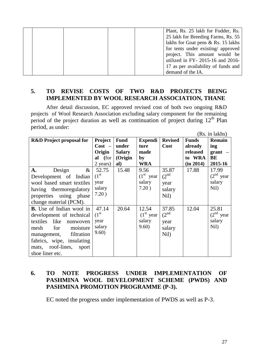|  |  | Plant, Rs. 25 lakh for Fodder, Rs.  |
|--|--|-------------------------------------|
|  |  | 25 lakh for Breeding Farms, Rs. 55  |
|  |  | lakhs for Goat pens & Rs. 15 lakhs  |
|  |  | for tents under existing/ approved  |
|  |  | project. This amount would be       |
|  |  | utilized in FY- 2015-16 and 2016-   |
|  |  | 17 as per availability of funds and |
|  |  | demand of the IA.                   |

### **5. TO REVISE COSTS OF TWO R&D PROJECTS BEING IMPLEMENTED BY WOOL RESEARCH ASSOCIATION, THANE**

After detail discussion, EC approved revised cost of both two ongoing R&D projects of Wool Research Association excluding salary component for the remaining period of the project duration as well as continuation of project during  $12<sup>th</sup>$  Plan period, as under:

|                                     |                    |               |                |                   |              | (Rs. in lakhs) |
|-------------------------------------|--------------------|---------------|----------------|-------------------|--------------|----------------|
| <b>R&amp;D</b> Project proposal for | <b>Project</b>     | <b>Fund</b>   | <b>Expendi</b> | <b>Revised</b>    | <b>Funds</b> | Remain         |
|                                     | $Cost -$           | under         | ture           | Cost              | already      | ing            |
|                                     | Origin             | <b>Salary</b> | made           |                   | released     | $grant$ –      |
|                                     | al (for            | (Origin       | by             |                   | to WRA       | BE             |
|                                     | 2 years)           | al)           | <b>WRA</b>     |                   | (in 2014)    | 2015-16        |
| $\&$<br>Design<br>A.                | 52.75              | 15.48         | 9.56           | 35.87             | 17.88        | 17.99          |
| Development of Indian               | (1 <sup>st</sup> ) |               | $(1st$ year    | $(2^{\text{nd}})$ |              | $(2nd$ year    |
| wool based smart textiles           | year               |               | salary         | year              |              | salary         |
| having thermoregulatory             | salary             |               | 7.20)          | salary            |              | Nil)           |
| properties using phase              | 7.20)              |               |                | Nil)              |              |                |
| change material (PCM).              |                    |               |                |                   |              |                |
| <b>B.</b> Use of Indian wool in     | 47.14              | 20.64         | 12.54          | 37.85             | 12.04        | 25.81          |
| development of technical            | (1 <sup>st</sup> ) |               | $(1st$ year    | (2 <sup>nd</sup>  |              | $(2nd$ year    |
| textiles<br>like<br>nonwoven        | year               |               | salary         | year              |              | salary         |
| for<br>mesh<br>moisture             | salary             |               | 9.60)          | salary            |              | Nil)           |
| filtration<br>management,           | 9.60)              |               |                | Nil)              |              |                |
| fabrics, wipe, insulating           |                    |               |                |                   |              |                |
| mats, roof-lines,<br>sport          |                    |               |                |                   |              |                |
| shoe liner etc.                     |                    |               |                |                   |              |                |

### **6. TO NOTE PROGRESS UNDER IMPLEMENTATION OF PASHMINA WOOL DEVELOPMENT SCHEME (PWDS) AND PASHMINA PROMOTION PROGRAMME (P-3).**

EC noted the progress under implementation of PWDS as well as P-3.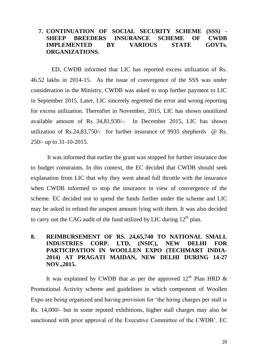### **7. CONTINUATION OF SOCIAL SECURITY SCHEME (SSS) - SHEEP BREEDERS INSURANCE SCHEME OF CWDB IMPLEMENTED BY VARIOUS STATE GOVTs. ORGANIZATIONS.**

ED, CWDB informed that LIC has reported excess utilization of Rs. 46.52 lakhs in 2014-15. As the issue of convergence of the SSS was under consideration in the Ministry, CWDB was asked to stop further payment to LIC in September 2015. Later, LIC sincerely regretted the error and wrong reporting for excess utilization. Thereafter in November, 2015, LIC has shown unutilized available amount of Rs 34,81,930/-. In December 2015, LIC has shown utilization of Rs.24,83,750/- for further insurance of 9935 shepherds @ Rs. 250/- up to 31-10-2015.

 It was informed that earlier the grant was stopped for further insurance due to budget constraints. In this context, the EC decided that CWDB should seek explanation from LIC that why they went ahead full throttle with the insurance when CWDB informed to stop the insurance in view of convergence of the scheme. EC decided not to spend the funds further under the scheme and LIC may be asked to refund the unspent amount lying with them. It was also decided to carry out the CAG audit of the fund utilized by LIC during  $12<sup>th</sup>$  plan.

### **8. REIMBURSEMENT OF RS. 24,65,740 TO NATIONAL SMALL INDUSTRIES CORP. LTD, (NSIC), NEW DELHI FOR PARTICIPATION IN WOOLLEN EXPO (TECHMART INDIA-2014) AT PRAGATI MAIDAN, NEW DELHI DURING 14-27 NOV.,2015.**

It was explained by CWDB that as per the approved  $12<sup>th</sup>$  Plan HRD  $\&$ Promotional Activity scheme and guidelines in which component of Woollen Expo are being organized and having provision for "the hiring charges per stall is Rs. 14,000/- but in some reputed exhibitions, higher stall charges may also be sanctioned with prior approval of the Executive Committee of the CWDB". EC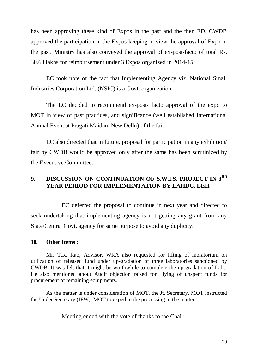has been approving these kind of Expos in the past and the then ED, CWDB approved the participation in the Expos keeping in view the approval of Expo in the past. Ministry has also conveyed the approval of ex-post-facto of total Rs. 30.68 lakhs for reimbursement under 3 Expos organized in 2014-15.

EC took note of the fact that Implementing Agency viz. National Small Industries Corporation Ltd. (NSIC) is a Govt. organization.

The EC decided to recommend ex-post- facto approval of the expo to MOT in view of past practices, and significance (well established International Annual Event at Pragati Maidan, New Delhi) of the fair.

EC also directed that in future, proposal for participation in any exhibition/ fair by CWDB would be approved only after the same has been scrutinized by the Executive Committee.

### **9. DISCUSSION ON CONTINUATION OF S.W.I.S. PROJECT IN 3RD YEAR PERIOD FOR IMPLEMENTATION BY LAHDC, LEH**

EC deferred the proposal to continue in next year and directed to seek undertaking that implementing agency is not getting any grant from any State/Central Govt. agency for same purpose to avoid any duplicity.

#### **10. Other Items :**

Mr. T.R. Rao, Advisor, WRA also requested for lifting of moratorium on utilization of released fund under up-gradation of three laboratories sanctioned by CWDB. It was felt that it might be worthwhile to complete the up-gradation of Labs. He also mentioned about Audit objection raised for lying of unspent funds for procurement of remaining equipments.

As the matter is under consideration of MOT, the Jt. Secretary, MOT instructed the Under Secretary (IFW), MOT to expedite the processing in the matter.

Meeting ended with the vote of thanks to the Chair.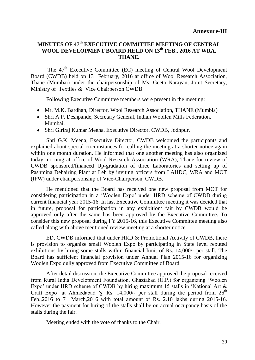### **MINUTES OF 47th EXECUTIVE COMMITTEE MEETING OF CENTRAL WOOL DEVELOPMENT BOARD HELD ON 13th FEB., 2016 AT WRA, THANE.**

The 47<sup>th</sup> Executive Committee (EC) meeting of Central Wool Development Board (CWDB) held on  $13<sup>th</sup>$  February, 2016 at office of Wool Research Association, Thane (Mumbai) under the chairpersonship of Ms. Geeta Narayan, Joint Secretary, Ministry of Textiles & Vice Chairperson CWDB.

Following Executive Committee members were present in the meeting:

- Mr. M.K. Bardhan, Director, Wool Research Association, THANE (Mumbia)
- Shri A.P. Deshpande, Secretary General, Indian Woollen Mills Federation, Mumbai.
- Shri Giriraj Kumar Meena, Executive Director, CWDB, Jodhpur.

Shri G.K. Meena, Executive Director, CWDB welcomed the participants and explained about special circumstances for calling the meeting at a shorter notice again within one month duration. He informed that one another meeting has also organized today morning at office of Wool Research Association (WRA), Thane for review of CWDB sponsored/financed Up-gradation of three Laboratories and setting up of Pashmina Dehairing Plant at Leh by inviting officers from LAHDC, WRA and MOT (IFW) under chairpersonship of Vice-Chairperson, CWDB.

He mentioned that the Board has received one new proposal from MOT for considering participation in a "Woolen Expo" under HRD scheme of CWDB during current financial year 2015-16. In last Executive Committee meeting it was decided that in future, proposal for participation in any exhibition/ fair by CWDB would be approved only after the same has been approved by the Executive Committee. To consider this new proposal during FY 2015-16, this Executive Committee meeting also called along with above mentioned review meeting at a shorter notice.

ED, CWDB informed that under HRD & Promotional Activity of CWDB, there is provision to organize small Woolen Expo by participating in State level reputed exhibitions by hiring some stalls within financial limit of Rs. 14,000/- per stall. The Board has sufficient financial provision under Annual Plan 2015-16 for organizing Woolen Expo dully approved from Executive Committee of Board.

After detail discussion, the Executive Committee approved the proposal received from Rural India Development Foundation, Ghaziabad (U.P.) for organizing "Woolen Expo' under HRD scheme of CWDB by hiring maximum 15 stalls in 'National Art & Craft Expo' at Ahmedabad @ Rs. 14,000/- per stall during the period from  $26<sup>th</sup>$ Feb., 2016 to  $7<sup>th</sup>$  March, 2016 with total amount of Rs. 2.10 lakhs during 2015-16. However the payment for hiring of the stalls shall be on actual occupancy basis of the stalls during the fair.

Meeting ended with the vote of thanks to the Chair.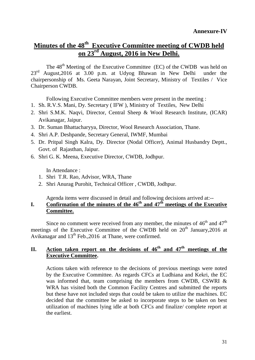# **Minutes of the 48th Executive Committee meeting of CWDB held on 23rd August, 2016 in New Delhi.**

The 48<sup>th</sup> Meeting of the Executive Committee (EC) of the CWDB was held on 23<sup>rd</sup> August, 2016 at 3.00 p.m. at Udyog Bhawan in New Delhi under the chairpersonship of Ms. Geeta Narayan, Joint Secretary, Ministry of Textiles / Vice Chairperson CWDB.

Following Executive Committee members were present in the meeting :

- 1. Sh. R.V.S. Mani, Dy. Secretary ( IFW ), Ministry of Textiles, New Delhi
- 2. Shri S.M.K. Naqvi, Director, Central Sheep & Wool Research Institute, (ICAR) Avikanagar, Jaipur.
- 3. Dr. Suman Bhattacharyya, Director, Wool Research Association, Thane.
- 4. Shri A.P. Deshpande, Secretary General, IWMF, Mumbai
- 5. Dr. Pritpal Singh Kalra, Dy. Director (Nodal Officer), Animal Husbandry Deptt., Govt. of Rajasthan, Jaipur.
- 6. Shri G. K. Meena, Executive Director, CWDB, Jodhpur.

In Attendance :

- 1. Shri T.R. Rao, Advisor, WRA, Thane
- 2. Shri Anurag Purohit, Technical Officer , CWDB, Jodhpur.

Agenda items were discussed in detail and following decisions arrived at:--

#### **I.** Confirmation of the minutes of the  $46<sup>th</sup>$  and  $47<sup>th</sup>$  meetings of the Executive **Committee.**

Since no comment were received from any member, the minutes of  $46<sup>th</sup>$  and  $47<sup>th</sup>$ meetings of the Executive Committee of the CWDB held on  $20<sup>th</sup>$  January, 2016 at Avikanagar and 13<sup>th</sup> Feb., 2016 at Thane, were confirmed.

#### II. Action taken report on the decisions of  $46^{\text{th}}$  and  $47^{\text{th}}$  meetings of the **Executive Committee.**

Actions taken with reference to the decisions of previous meetings were noted by the Executive Committee. As regards CFCs at Ludhiana and Kekri, the EC was informed that, team comprising the members from CWDB, CSWRI & WRA has visited both the Common Facility Centres and submitted the reports but these have not included steps that could be taken to utilize the machines. EC decided that the committee be asked to incorporate steps to be taken on best utilization of machines lying idle at both CFCs and finalize/ complete report at the earliest.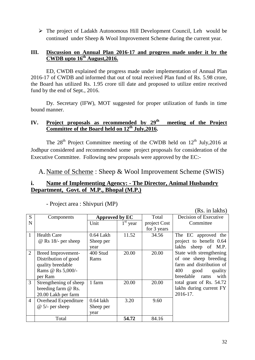The project of Ladakh Autonomous Hill Development Council, Leh would be continued under Sheep & Wool Improvement Scheme during the current year.

#### **III. Discussion on Annual Plan 2016-17 and progress made under it by the CWDB upto 16th August,2016.**

ED, CWDB explained the progress made under implementation of Annual Plan 2016-17 of CWDB and informed that out of total received Plan fund of Rs. 5.98 crore, the Board has utilized Rs. 1.95 crore till date and proposed to utilize entire received fund by the end of Sept., 2016.

Dy. Secretary (IFW), MOT suggested for proper utilization of funds in time bound manner.

### IV. Project proposals as recommended by 29<sup>th</sup> meeting of the Project **Committee of the Board held on 12th July,2016.**

The  $28<sup>th</sup>$  Project Committee meeting of the CWDB held on  $12<sup>th</sup>$  July, 2016 at Jodhpur considered and recommended some project proposals for consideration of the Executive Committee. Following new proposals were approved by the EC:-

A. Name of Scheme : Sheep & Wool Improvement Scheme (SWIS)

### **i. Name of Implementing Agency: - The Director, Animal Husbandry Department, Govt. of M.P., Bhopal (M.P.)**

|                |                            | (NS. 111 IAKIIS <i>)</i> |            |              |                           |
|----------------|----------------------------|--------------------------|------------|--------------|---------------------------|
| S              | Components                 | Approved by EC           |            | Total        | Decision of Executive     |
| N              |                            | Unit                     | $1st$ year | project Cost | Committee                 |
|                |                            |                          |            | for 3 years  |                           |
| $\mathbf{1}$   | <b>Health Care</b>         | 0.64 Lakh                | 11.52      | 34.56        | The EC approved the       |
|                | $\omega$ Rs 18/- per sheep | Sheep per                |            |              | project to benefit 0.64   |
|                |                            | year                     |            |              | lakhs sheep of M.P.       |
| $\overline{2}$ | <b>Breed Improvement-</b>  | 400 Stud                 | 20.00      | 20.00        | State with strengthening  |
|                | Distribution of good       | Rams                     |            |              | of one sheep breeding     |
|                | quality breedable          |                          |            |              | farm and distribution of  |
|                | Rams @ Rs 5,000/-          |                          |            |              | 400<br>good<br>quality    |
|                | per Ram                    |                          |            |              | breedable<br>with<br>rams |
| $\overline{3}$ | Strengthening of sheep     | 1 farm                   | 20.00      | 20.00        | total grant of Rs. 54.72  |
|                | breeding farm @ Rs.        |                          |            |              | lakhs during current FY   |
|                | 20.00 Lakh per farm        |                          |            |              | 2016-17.                  |
| $\overline{4}$ | Overhead Expenditure       | $0.64$ lakh              | 3.20       | 9.60         |                           |
|                | $@ 5/-$ per sheep          | Sheep per                |            |              |                           |
|                |                            | year                     |            |              |                           |
|                | Total                      |                          | 54.72      | 84.16        |                           |

- Project area : Shivpuri (MP)

 $(D<sub>c</sub>$  in lakha)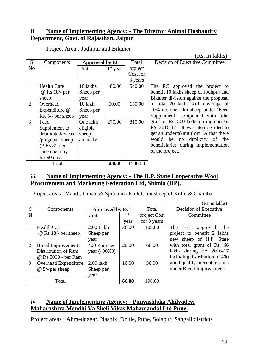### **ii. Name of Implementing Agency: - The Director Animal Husbandry Department, Govt. of Rajasthan, Jaipur.**

|                |                    |                |            | (100, 101100) |                                       |  |
|----------------|--------------------|----------------|------------|---------------|---------------------------------------|--|
| S              | Components         | Approved by EC |            | Total         | Decision of Executive Committee       |  |
| No             |                    | Unit           | $1st$ year | project       |                                       |  |
|                |                    |                |            | Cost for      |                                       |  |
|                |                    |                |            | 3 years       |                                       |  |
| 1              | <b>Health Care</b> | 10 lakhs       | 180.00     | 540.00        | The EC approved the project to        |  |
|                | @ Rs 18/- per      | Sheep per      |            |               | benefit 10 lakhs sheep of Jodhpur and |  |
|                | sheep              | year           |            |               | Bikaner division against the proposal |  |
| $\overline{2}$ | Overhead           | 10 lakh        | 50.00      | 150.00        | of total 20 lakhs with coverage of    |  |
|                | Expenditure @      | Sheep per      |            |               | 10% i.e. one lakh sheep under 'Feed   |  |
|                | Rs. 5/- per sheep  | year           |            |               | Supplement' component with total      |  |
| 3              | Feed               | One lakh       | 270.00     | 810.00        | grant of Rs. 500 lakhs during current |  |
|                | Supplement to      | eligible       |            |               | FY 2016-17. It was also decided to    |  |
|                | debilitated/weak   | sheep          |            |               | get an undertaking from IA that there |  |
|                | /pregnant sheep    | annually       |            |               | duplicity of the<br>would<br>be no    |  |
|                | @ Rs 3/- per       |                |            |               | beneficiaries during implementation   |  |
|                | sheep per day      |                |            |               | of the project.                       |  |
|                | for 90 days        |                |            |               |                                       |  |
|                | Total              |                | 500.00     | 1500.00       |                                       |  |

### Project Area : Jodhpur and Bikaner

(Rs. in lakhs)

### **iii. Name of Implementing Agency: - The H.P. State Cooperative Wool Procurement and Marketing Federation Ltd, Shimla (HP).**

Project areas : Mandi, Lahaul & Spiti and also left out sheep of Kullu & Chamba

|                |                            | (Rs. in lakhs) |       |              |                               |
|----------------|----------------------------|----------------|-------|--------------|-------------------------------|
| S              | Components                 | Approved by EC |       | Total        | Decision of Executive         |
| N              |                            | Unit           | 1 st  | project Cost | Committee                     |
|                |                            |                | year  | for 3 years  |                               |
|                | <b>Health Care</b>         | 2.00 Lakh      | 36.00 | 108.00       | The<br>EC<br>the<br>approved  |
|                | $\omega$ Rs 18/- per sheep | Sheep per      |       |              | project to benefit 2 lakhs    |
|                |                            | year           |       |              | sheep of H.P. State<br>new    |
| $\overline{2}$ | Breed Improvement-         | 400 Ram per    | 20.00 | 60.00        | with total grant of Rs. 66    |
|                | Distribution of Ram        | year $(400X3)$ |       |              | lakhs during FY 2016-17       |
|                | @ Rs 5000/- per Ram        |                |       |              | including distribution of 400 |
| 3              | Overhead Expenditure       | 2.00 lakh      | 10.00 | 30.00        | good quality breedable rams   |
|                | $@ 5/-$ per sheep          | Sheep per      |       |              | under Breed Improvement.      |
|                |                            | year           |       |              |                               |
|                | Total                      |                | 66.00 | 198.00       |                               |

### **iv. Name of Implementing Agency: - Punyashloka Ahilyadevi Maharashtra Mendhi Va Sheli Vikas Mahamandal Ltd Pune.**

Project areas : Ahmednagar, Nashik, Dhule, Pune, Solapur, Sangali districts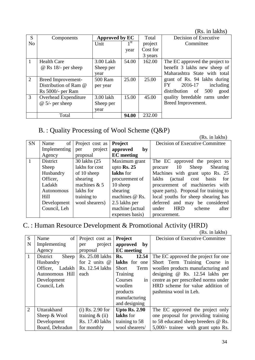(Rs. in lakhs)

| S              | Components                 |           | Approved by EC  |          | Decision of Executive          |
|----------------|----------------------------|-----------|-----------------|----------|--------------------------------|
| N <sub>o</sub> |                            | Unit      | 1 <sup>st</sup> | project  | Committee                      |
|                |                            |           | year            | Cost for |                                |
|                |                            |           |                 | 3 years  |                                |
| -1             | <b>Health Care</b>         | 3.00 Lakh | 54.00           | 162.00   | The EC approved the project to |
|                | $\omega$ Rs 18/- per sheep | Sheep per |                 |          | benefit 3 lakhs new sheep of   |
|                |                            | year      |                 |          | Maharashtra State with total   |
| 2              | Breed Improvement-         | 500 Ram   | 25.00           | 25.00    | grant of Rs. 94 lakhs during   |
|                | Distribution of Ram @      | per year  |                 |          | 2016-17<br>FY<br>including     |
|                | Rs 5000/- per Ram          |           |                 |          | distribution of 500<br>good    |
| 3              | Overhead Expenditure       | 3.00 lakh | 15.00           | 45.00    | quality breedable rams under   |
|                | $@ 5/-$ per sheep          | Sheep per |                 |          | Breed Improvement.             |
|                |                            | year      |                 |          |                                |
|                | Total                      |           | 94.00           | 232.00   |                                |

# B. : Quality Processing of Wool Scheme (Q&P)

(Rs. in lakhs)

|           |              |                 |                        | (IAS. III IANIIS <i>)</i>                 |
|-----------|--------------|-----------------|------------------------|-------------------------------------------|
| <b>SN</b> | of<br>Name   | Project cost as | Project                | Decision of Executive Committee           |
|           | Implementing | project<br>per  | approved<br>by         |                                           |
|           | Agency       | proposal        | <b>EC</b> meeting      |                                           |
|           | District     | 30 lakhs (25)   | Maximum grant          | The EC approved the project to            |
|           | Sheep        | lakhs for cost  | upto $\mathbf{Rs.}$ 25 | Sheep<br>Shearing<br>procedure 10         |
|           | Husbandry    | of 10 sheep     | lakhs for              | Machines with grant upto Rs. 25           |
|           | Officer,     | shearing        | procurement of         | for<br>lakhs<br>(actual)<br>basis<br>cost |
|           | Ladakh       | machines $& 5$  | 10 sheep               | procurement of machineries with           |
|           | Autonomous   | lakhs for       | shearing               | spare parts). Proposal for training to    |
|           | <b>Hill</b>  | training to     | machines @ Rs.         | local youths for sheep shearing has       |
|           | Development  | wool shearers)  | 2.5 lakhs per          | deferred and may be considered            |
|           | Council, Leh |                 | machine (actual        | <b>HRD</b><br>under<br>scheme<br>after    |
|           |              |                 | expenses basis)        | procurement.                              |

# C. : Human Resource Development & Promotional Activity (HRD)

|                |                         |                    |                      | (Rs. in lakhs)                       |
|----------------|-------------------------|--------------------|----------------------|--------------------------------------|
| S              | of<br>Name              | Project cost as    | Project              | Decision of Executive Committee      |
| N              | Implementing            | project<br>per     | approved<br>by       |                                      |
|                | Agency                  | proposal           | <b>EC</b> meeting    |                                      |
| $\mathbf{1}$   | Sheep<br>District       | Rs. 25.08 lakhs    | 12.54<br>Rs.         | The EC approved the project for one  |
|                | Husbandry               | for 2 units $@$    | lakhs for one        | Short Term Training Course in        |
|                | Officer.<br>Ladakh      | Rs. 12.54 lakhs    | <b>Short</b><br>Term | woollen products manufacturing and   |
|                | Autonomous Hill<br>each |                    | Training             | designing @ Rs. 12.54 lakhs per      |
|                | Development             |                    | Courses<br>in        | centre as per prescribed norms under |
|                | Council, Leh            |                    | woollen              | HRD scheme for value addition of     |
|                |                         |                    | products             | pashmina wool in Leh.                |
|                |                         |                    | manufacturing        |                                      |
|                |                         |                    | and designing        |                                      |
| $\overline{2}$ | Uttarakhand             | $(i)$ Rs. 2.90 for | <b>Upto Rs. 2.90</b> | The EC approved the project only     |
|                | Sheep & Wool            | training $\&$ (ii) | lakhs for            | one proposal for providing training  |
|                | Development             | Rs. 17.40 lakhs    | training to 58       | to 58 educated sheep breeders @ Rs.  |
|                | Board, Dehradun         | for monthly        | wool shearers/       | 5,000/- trainee with grant upto Rs.  |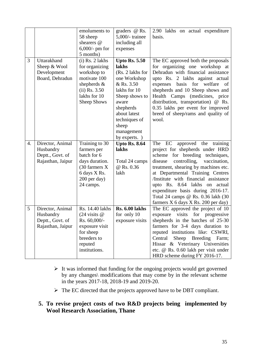|    |                                                                        | emoluments to<br>58 sheep<br>shearers @<br>$6,000/$ - pm for<br>5 months)                                                                           | graders @ Rs.<br>$5,000/$ - trainee<br>including all<br>expenses                                                                                                                                                 | 2.90 lakhs on actual expenditure<br>basis.                                                                                                                                                                                                                                                                                                                                                                                    |
|----|------------------------------------------------------------------------|-----------------------------------------------------------------------------------------------------------------------------------------------------|------------------------------------------------------------------------------------------------------------------------------------------------------------------------------------------------------------------|-------------------------------------------------------------------------------------------------------------------------------------------------------------------------------------------------------------------------------------------------------------------------------------------------------------------------------------------------------------------------------------------------------------------------------|
| 3  | Uttarakhand<br>Sheep & Wool<br>Development<br>Board, Dehradun          | $(i)$ Rs. 2 lakhs<br>for organizing<br>workshop to<br>motivate 100<br>shepherds $\&$<br>$(ii)$ Rs. 3.50<br>lakhs for 10<br><b>Sheep Shows</b>       | <b>Upto Rs. 5.50</b><br>lakhs<br>(Rs. 2 lakhs for<br>one Workshop<br>& Rs. 3.50<br>lakhs for 10<br>Sheep shows to<br>aware<br>shepherds<br>about latest<br>techniques of<br>sheep<br>management<br>by experts. ) | The EC approved both the proposals<br>for organizing one workshop at<br>Dehradun with financial assistance<br>upto Rs. 2 lakhs against actual<br>welfare<br>basis for<br>expenses<br>of<br>shepherds and 10 Sheep shows and<br>Health Camps<br>(medicines, price)<br>distribution, transportation) @ Rs.<br>0.35 lakhs per event for improved<br>breed of sheep/rams and quality of<br>wool.                                  |
| 4. | Director, Animal<br>Husbandry<br>Deptt., Govt. of<br>Rajasthan, Jaipur | Training to 30<br>farmers per<br>batch for 6<br>days duration.<br>(30 farmers X)<br>6 days X Rs.<br>200 per day)<br>24 camps.                       | <b>Upto Rs. 8.64</b><br>lakhs<br>Total 24 camps<br>@ Rs. 0.36<br>lakh                                                                                                                                            | The EC approved the<br>training<br>project for shepherds under HRD<br>breeding techniques,<br>scheme<br>for<br>controlling,<br>vaccination,<br>disease<br>treatment, shearing by machines etc.<br>at Departmental Training Centres<br>/Institute with financial assistance<br>upto Rs. 8.64 lakhs on actual<br>expenditure basis during 2016-17.<br>Total 24 camps @ Rs. 0.36 lakh (30<br>farmers X 6 days X Rs. 200 per day) |
| 5  | Director, Animal<br>Husbandry<br>Deptt., Govt. of<br>Rajasthan, Jaipur | Rs. 14.40 lakhs<br>$(24 \text{ visits } \textcircled{a})$<br>Rs. 60,000/-<br>exposure visit<br>for sheep<br>breeders to<br>reputed<br>institutions. | <b>Rs. 6.00 lakhs</b><br>for only 10<br>exposure visits                                                                                                                                                          | The EC approved the project of 10<br>for progressive<br>visits<br>exposure<br>shepherds in the batches of 25-30<br>farmers for 3-4 days duration to<br>reputed institutions like: CSWRI,<br>Central<br>Sheep Breeding Farm;<br>Hissar & Veterinary Universities<br>etc. @ Rs. 0.60 lakh per visit under<br>HRD scheme during FY 2016-17.                                                                                      |

- $\triangleright$  It was informed that funding for the ongoing projects would get governed by any changes\ modifications that may come by in the relevant scheme in the years 2017-18, 2018-19 and 2019-20.
- > The EC directed that the projects approved have to be DBT compliant.

### **5. To revise project costs of two R&D projects being implemented by Wool Research Association, Thane**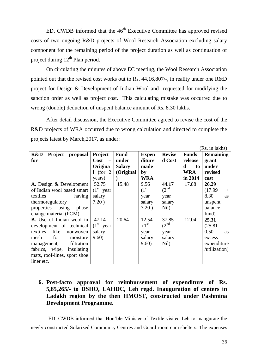ED, CWDB informed that the  $46<sup>th</sup>$  Executive Committee has approved revised costs of two ongoing R&D projects of Wool Research Association excluding salary component for the remaining period of the project duration as well as continuation of project during  $12^{th}$  Plan period.

On circulating the minutes of above EC meeting, the Wool Research Association pointed out that the revised cost works out to Rs. 44,16,807/-, in reality under one R&D project for Design & Development of Indian Wool and requested for modifying the sanction order as well as project cost. This calculating mistake was occurred due to wrong (double) deduction of unspent balance amount of Rs. 8.30 lakhs.

After detail discussion, the Executive Committee agreed to revise the cost of the R&D projects of WRA occurred due to wrong calculation and directed to complete the projects latest by March,2017, as under:

|                                 |                                  |               |                    |                  |              | (INS. III IAKIIS <i>)</i> |
|---------------------------------|----------------------------------|---------------|--------------------|------------------|--------------|---------------------------|
| Project<br>R&D<br>proposal      | Project                          | <b>Fund</b>   | <b>Expen</b>       | <b>Revise</b>    | <b>Funds</b> | <b>Remaining</b>          |
| for                             | Cost<br>$\overline{\phantom{0}}$ | under         | diture             | d Cost           | release      | grant                     |
|                                 | Origina                          | <b>Salary</b> | made               |                  | d<br>to      | under                     |
|                                 | 1 (for $2$                       | (Original     | by                 |                  | WRA          | revised                   |
|                                 | years)                           |               | <b>WRA</b>         |                  | in 2014      | cost                      |
| A. Design & Development         | 52.75                            | 15.48         | 9.56               | 44.17            | 17.88        | 26.29                     |
| of Indian wool based smart      | $(1st$ year                      |               | (1 <sup>st</sup> ) | (2 <sup>nd</sup> |              | (17.99)<br>$+$            |
| textiles<br>having              | salary                           |               | year               | year             |              | 8.30<br><b>as</b>         |
| thermoregulatory                | 7.20)                            |               | salary             | salary           |              | unspent                   |
| properties<br>using<br>phase    |                                  |               | 7.20)              | Nil)             |              | balance                   |
| change material (PCM).          |                                  |               |                    |                  |              | fund)                     |
| <b>B.</b> Use of Indian wool in | 47.14                            | 20.64         | 12.54              | 37.85            | 12.04        | 25.31                     |
| development of technical        | $(1st$ year                      |               | (1 <sup>st</sup> ) | (2 <sup>nd</sup> |              | (25.81)                   |
| textiles<br>like<br>nonwoven    | salary                           |               | year               | year             |              | 0.50<br><b>as</b>         |
| mesh<br>for<br>moisture         | 9.60)                            |               | salary             | salary           |              | excess                    |
| filtration<br>management,       |                                  |               | 9.60)              | Nil)             |              | expenditure               |
| fabrics, wipe,<br>insulating    |                                  |               |                    |                  |              | /utilization)             |
| mats, roof-lines, sport shoe    |                                  |               |                    |                  |              |                           |
| liner etc.                      |                                  |               |                    |                  |              |                           |

### **6. Post-facto approval for reimbursement of expenditure of Rs. 5,85,265/- to DSHO, LAHDC, Leh regd. Inauguration of centers in Ladakh region by the then HMOST, constructed under Pashmina Development Programme.**

ED, CWDB informed that Hon"ble Minister of Textile visited Leh to inaugurate the newly constructed Solarized Community Centres and Guard room cum shelters. The expenses

 $(D<sub>e</sub>$  in lakhe)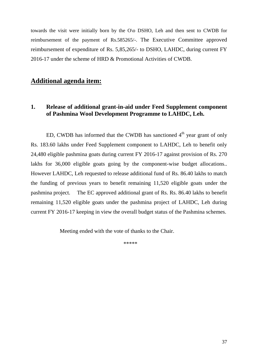towards the visit were initially born by the O\o DSHO, Leh and then sent to CWDB for reimbursement of the payment of Rs.585265/-. The Executive Committee approved reimbursement of expenditure of Rs. 5,85,265/- to DSHO, LAHDC, during current FY 2016-17 under the scheme of HRD & Promotional Activities of CWDB.

### **Additional agenda item:**

#### **1. Release of additional grant-in-aid under Feed Supplement component of Pashmina Wool Development Programme to LAHDC, Leh.**

ED, CWDB has informed that the CWDB has sanctioned  $4<sup>th</sup>$  year grant of only Rs. 183.60 lakhs under Feed Supplement component to LAHDC, Leh to benefit only 24,480 eligible pashmina goats during current FY 2016-17 against provision of Rs. 270 lakhs for 36,000 eligible goats going by the component-wise budget allocations.. However LAHDC, Leh requested to release additional fund of Rs. 86.40 lakhs to match the funding of previous years to benefit remaining 11,520 eligible goats under the pashmina project. The EC approved additional grant of Rs. Rs. 86.40 lakhs to benefit remaining 11,520 eligible goats under the pashmina project of LAHDC, Leh during current FY 2016-17 keeping in view the overall budget status of the Pashmina schemes.

Meeting ended with the vote of thanks to the Chair.

\*\*\*\*\*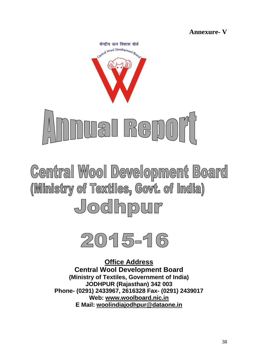**Annexure- V**

केन्द्रीय ऊन विकास बोर्ड entral Wool Development Books



**Central Wool Development Board** (Ministry of Textiles, Govt. of India) Jodhpur



**Office Address Central Wool Development Board (Ministry of Textiles, Government of India) JODHPUR (Rajasthan) 342 003 Phone- (0291) 2433967, 2616328 Fax- (0291) 2439017 Web: [www.woolboard.nic.in](http://www.woolboard.nic.in/)  E Mail: [woolindiajodhpur@dataone.in](mailto:woolindiajodhpur@dataone.in)**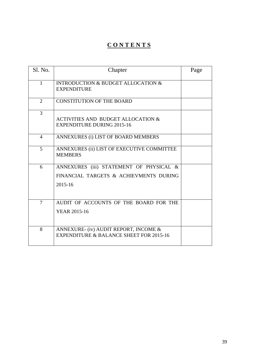# **C O N T E N T S**

| <b>S1. No.</b> | Chapter                                                                                          | Page |
|----------------|--------------------------------------------------------------------------------------------------|------|
| $\mathbf{1}$   | <b>INTRODUCTION &amp; BUDGET ALLOCATION &amp;</b><br><b>EXPENDITURE</b>                          |      |
| $\overline{2}$ | <b>CONSTITUTION OF THE BOARD</b>                                                                 |      |
| 3              | <b>ACTIVITIES AND BUDGET ALLOCATION &amp;</b><br><b>EXPENDITURE DURING 2015-16</b>               |      |
| $\overline{4}$ | ANNEXURES (i) LIST OF BOARD MEMBERS                                                              |      |
| 5              | ANNEXURES (ii) LIST OF EXECUTIVE COMMITTEE<br><b>MEMBERS</b>                                     |      |
| 6              | ANNEXURES (iii) STATEMENT OF PHYSICAL &<br>FINANCIAL TARGETS & ACHIEVMENTS DURING<br>$2015 - 16$ |      |
| $\overline{7}$ | AUDIT OF ACCOUNTS OF THE BOARD FOR THE<br><b>YEAR 2015-16</b>                                    |      |
| 8              | ANNEXURE- (iv) AUDIT REPORT, INCOME &<br><b>EXPENDITURE &amp; BALANCE SHEET FOR 2015-16</b>      |      |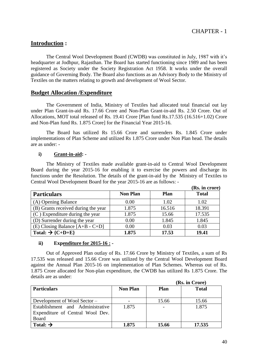### **Introduction :**

 The Central Wool Development Board (CWDB) was constituted in July, 1987 with it"s headquarter at Jodhpur, Rajasthan. The Board has started functioning since 1989 and has been registered as Society under the Society Registration Act 1958. It works under the overall guidance of Governing Body. The Board also functions as an Advisory Body to the Ministry of Textiles on the matters relating to growth and development of Wool Sector.

#### **Budget Allocation /Expenditure**

The Government of India, Ministry of Textiles had allocated total financial out lay under Plan Grant-in-aid Rs. 17.66 Crore and Non-Plan Grant-in-aid Rs. 2.50 Crore. Out of Allocations, MOT total released of Rs. 19.41 Crore [Plan fund Rs.17.535 (16.516+1.02) Crore and Non-Plan fund Rs. 1.875 Crore] for the Financial Year 2015-16.

The Board has utilized Rs 15.66 Crore and surrenders Rs. 1.845 Crore under implementations of Plan Scheme and utilized Rs 1.875 Crore under Non Plan head. The details are as under: -

#### **i) Grant-in-aid: -**

The Ministry of Textiles made available grant-in-aid to Central Wool Development Board during the year 2015-16 for enabling it to exercise the powers and discharge its functions under the Resolution. The details of the grant-in-aid by the Ministry of Textiles to Central Wool Development Board for the year 2015-16 are as follows: -

|                                     |                 |             | (Rs. in crore) |
|-------------------------------------|-----------------|-------------|----------------|
| <b>Particulars</b>                  | <b>Non Plan</b> | <b>Plan</b> | <b>Total</b>   |
| (A) Opening Balance                 | 0.00            | 1.02        | 1.02           |
| (B) Grants received during the year | 1.875           | 16.516      | 18.391         |
| $(C)$ Expenditure during the year   | 1.875           | 15.66       | 17.535         |
| (D) Surrender during the year       | 0.00            | 1.845       | 1.845          |
| (E) Closing Balance $[A+B - C+D]$   | 0.00            | 0.03        | 0.03           |
| Total: $\rightarrow$ {C+D+E}        | 1.875           | 17.53       | 19.41          |

#### **ii) Expenditure for 2015-16 : -**

Out of Approved Plan outlay of Rs. 17.66 Crore by Ministry of Textiles, a sum of Rs 17.535 was released and 15.66 Crore was utilized by the Central Wool Development Board against the Annual Plan 2015-16 on implementation of Plan Schemes. Whereas out of Rs. 1.875 Crore allocated for Non-plan expenditure, the CWDB has utilized Rs 1.875 Crore. The details are as under:

|                                  |                 | (Rs. in Crore) |              |  |
|----------------------------------|-----------------|----------------|--------------|--|
| <b>Particulars</b>               | <b>Non Plan</b> | Plan           | <b>Total</b> |  |
|                                  |                 |                |              |  |
| Development of Wool Sector –     |                 | 15.66          | 15.66        |  |
| Establishment and Administrative | 1.875           |                | 1.875        |  |
| Expenditure of Central Wool Dev. |                 |                |              |  |
| Board                            |                 |                |              |  |
| Total: $\rightarrow$             | 1.875           | 15.66          | 17.535       |  |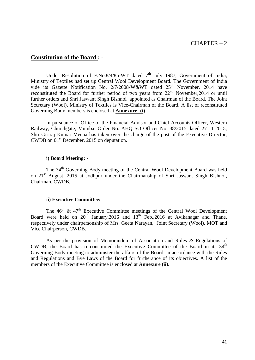#### **Constitution of the Board : -**

Under Resolution of F.No.8/4/85-WT dated  $7<sup>th</sup>$  July 1987, Government of India, Ministry of Textiles had set up Central Wool Development Board. The Government of India vide its Gazette Notification No. 2/7/2008-W&WT dated 25<sup>th</sup> November, 2014 have reconstituted the Board for further period of two years from  $22<sup>nd</sup>$  November, 2014 or until further orders and Shri Jaswant Singh Bishnoi appointed as Chairman of the Board. The Joint Secretary (Wool), Ministry of Textiles is Vice-Chairman of the Board. A list of reconstituted Governing Body members is enclosed at **Annexure- (i)** 

In pursuance of Office of the Financial Advisor and Chief Accounts Officer, Western Railway, Churchgate, Mumbai Order No. AHQ SO Officer No. 38/2015 dated 27-11-2015; Shri Giriraj Kumar Meena has taken over the charge of the post of the Executive Director, CWDB on 01<sup>st</sup> December, 2015 on deputation.

#### **i) Board Meeting: -**

The 34<sup>th</sup> Governing Body meeting of the Central Wool Development Board was held on 21<sup>st</sup> August, 2015 at Jodhpur under the Chairmanship of Shri Jaswant Singh Bishnoi, Chairman, CWDB.

#### **ii) Executive Committee: -**

The  $46<sup>th</sup>$  &  $47<sup>th</sup>$  Executive Committee meetings of the Central Wool Development Board were held on  $20^{th}$  January,  $2016$  and  $13^{th}$  Feb.,  $2016$  at Avikanagar and Thane, respectively under chairpersonship of Mrs. Geeta Narayan, Joint Secretary (Wool), MOT and Vice Chairperson, CWDB.

As per the provision of Memorandum of Association and Rules & Regulations of CWDB, the Board has re-constituted the Executive Committee of the Board in its 34<sup>th</sup> Governing Body meeting to administer the affairs of the Board, in accordance with the Rules and Regulations and Bye Laws of the Board for furtherance of its objectives. A list of the members of the Executive Committee is enclosed at **Annexure (ii).**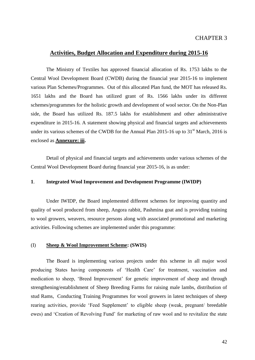#### **Activities, Budget Allocation and Expenditure during 2015-16**

The Ministry of Textiles has approved financial allocation of Rs. 1753 lakhs to the Central Wool Development Board (CWDB) during the financial year 2015-16 to implement various Plan Schemes/Programmes. Out of this allocated Plan fund, the MOT has released Rs. 1651 lakhs and the Board has utilized grant of Rs. 1566 lakhs under its different schemes/programmes for the holistic growth and development of wool sector. On the Non-Plan side, the Board has utilized Rs. 187.5 lakhs for establishment and other administrative expenditure in 2015-16. A statement showing physical and financial targets and achievements under its various schemes of the CWDB for the Annual Plan 2015-16 up to  $31<sup>st</sup>$  March, 2016 is enclosed as **Annexure: iii.** 

Detail of physical and financial targets and achievements under various schemes of the Central Wool Development Board during financial year 2015-16, is as under:

#### **1**. **Integrated Wool Improvement and Development Programme (IWIDP)**

Under IWIDP, the Board implemented different schemes for improving quantity and quality of wool produced from sheep, Angora rabbit, Pashmina goat and is providing training to wool growers, weavers, resource persons along with associated promotional and marketing activities. Following schemes are implemented under this programme:

#### (I) **Sheep & Wool Improvement Scheme: (SWIS)**

The Board is implementing various projects under this scheme in all major wool producing States having components of "Health Care" for treatment, vaccination and medication to sheep, 'Breed Improvement' for genetic improvement of sheep and through strengthening/establishment of Sheep Breeding Farms for raising male lambs, distribution of stud Rams, Conducting Training Programmes for wool growers in latest techniques of sheep rearing activities, provide "Feed Supplement" to eligible sheep (weak, pregnant/ breedable ewes) and "Creation of Revolving Fund" for marketing of raw wool and to revitalize the state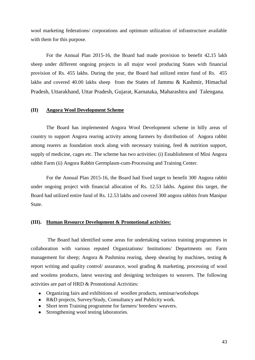wool marketing federations/ corporations and optimum utilization of infrastructure available with them for this purpose.

For the Annual Plan 2015-16, the Board had made provision to benefit 42**.**15 lakh sheep under different ongoing projects in all major wool producing States with financial provision of Rs. 455 lakhs. During the year, the Board had utilized entire fund of Rs. 455 lakhs and covered 40.00 lakhs sheep from the States of Jammu & Kashmir, Himachal Pradesh, Uttarakhand, Uttar Pradesh, Gujarat, Karnataka, Maharashtra and Talengana.

#### **(II) Angora Wool Development Scheme**

The Board has implemented Angora Wool Development scheme in hilly areas of country to support Angora rearing activity among farmers by distribution of Angora rabbit among rearers as foundation stock along with necessary training, feed & nutrition support, supply of medicine, cages etc. The scheme has two activities: (i) Establishment of Mini Angora rabbit Farm (ii) Angora Rabbit Germplasm-cum-Processing and Training Center.

For the Annual Plan 2015-16, the Board had fixed target to benefit 300 Angora rabbit under ongoing project with financial allocation of Rs. 12.53 lakhs. Against this target, the Board had utilized entire fund of Rs. 12.53 lakhs and covered 300 angora rabbits from Manipur State.

#### **(III). Human Resource Development & Promotional activities:**

The Board had identified some areas for undertaking various training programmes in collaboration with various reputed Organizations/ Institutions/ Departments on: Farm management for sheep; Angora & Pashmina rearing, sheep shearing by machines, testing  $\&$ report writing and quality control/ assurance, wool grading & marketing, processing of wool and woolens products, latest weaving and designing techniques to weavers. The following activities are part of HRD & Promotional Activities:

- Organizing fairs and exhibitions of woollen products, seminar/workshops
- R&D projects, Survey/Study, Consultancy and Publicity work.
- Short term Training programme for farmers/ breeders/ weavers.
- Strengthening wool testing laboratories.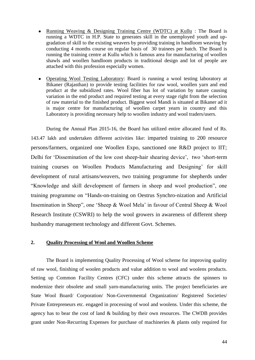- Running Weaving & Designing Training Centre (WDTC) at Kullu : The Board is running a WDTC in H.P. State to generates skill in the unemployed youth and upgradation of skill to the existing weavers by providing training in handloom weaving by conducting 4 months course on regular basis of 30 trainees per batch. The Board is running the training centre at Kullu which is famous area for manufacturing of woollen shawls and woollen handloom products in traditional design and lot of people are attached with this profession especially women.
- Operating Wool Testing Laboratory: Board is running a wool testing laboratory at Bikaner (Rajasthan) to provide testing facilities for raw wool, woollen yarn and end product at the subsidized rates. Wool fiber has lot of variation by nature causing variation in the end product and required testing at every stage right from the selection of raw material to the finished product. Biggest wool Mandi is situated at Bikaner ad it is major centre for manufacturing of woollen carpet yearn in country and this Laboratory is providing necessary help to woollen industry and wool traders/users.

During the Annual Plan 2015-16, the Board has utilized entire allocated fund of Rs. 143.47 lakh and undertaken different activities like: imparted training to 200 resource persons/farmers, organized one Woollen Expo, sanctioned one R&D project to IIT; Delhi for 'Dissemination of the low cost sheep-hair shearing device', two 'short-term training courses on Woollen Products Manufacturing and Designing" for skill development of rural artisans/weavers, two training programme for shepherds under "Knowledge and skill development of farmers in sheep and wool production", one training programme on "Hands-on-training on Oestrus Synchro-nization and Artificial Insemination in Sheep", one "Sheep & Wool Mela" in favour of Central Sheep & Wool Research Institute (CSWRI) to help the wool growers in awareness of different sheep husbandry management technology and different Govt. Schemes.

#### **2. Quality Processing of Wool and Woollen Scheme**

The Board is implementing Quality Processing of Wool scheme for improving quality of raw wool, finishing of woolen products and value addition to wool and woolens products. Setting up Common Facility Centres (CFC) under this scheme attracts the spinners to modernize their obsolete and small yarn-manufacturing units. The project beneficiaries are State Wool Board/ Corporation/ Non-Governmental Organization/ Registered Societies/ Private Entrepreneurs etc. engaged in processing of wool and woolens. Under this scheme, the agency has to bear the cost of land & building by their own resources. The CWDB provides grant under Non-Recurring Expenses for purchase of machineries & plants only required for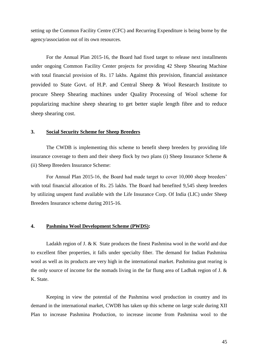setting up the Common Facility Centre (CFC) and Recurring Expenditure is being borne by the agency/association out of its own resources.

For the Annual Plan 2015-16, the Board had fixed target to release next installments under ongoing Common Facility Center projects for providing 42 Sheep Shearing Machine with total financial provision of Rs. 17 lakhs. Against this provision, financial assistance provided to State Govt. of H.P. and Central Sheep & Wool Research Institute to procure Sheep Shearing machines under Quality Processing of Wool scheme for popularizing machine sheep shearing to get better staple length fibre and to reduce sheep shearing cost.

#### **3. Social Security Scheme for Sheep Breeders**

The CWDB is implementing this scheme to benefit sheep breeders by providing life insurance coverage to them and their sheep flock by two plans (i) Sheep Insurance Scheme & (ii) Sheep Breeders Insurance Scheme:

For Annual Plan 2015-16, the Board had made target to cover 10,000 sheep breeders' with total financial allocation of Rs. 25 lakhs. The Board had benefited 9,545 sheep breeders by utilizing unspent fund available with the Life Insurance Corp. Of India (LIC) under Sheep Breeders Insurance scheme during 2015-16.

#### **4. Pashmina Wool Development Scheme (PWDS):**

Ladakh region of J. & K State produces the finest Pashmina wool in the world and due to excellent fiber properties, it falls under specialty fiber. The demand for Indian Pashmina wool as well as its products are very high in the international market. Pashmina goat rearing is the only source of income for the nomads living in the far flung area of Ladhak region of J. & K. State.

 Keeping in view the potential of the Pashmina wool production in country and its demand in the international market, CWDB has taken up this scheme on large scale during XII Plan to increase Pashmina Production, to increase income from Pashmina wool to the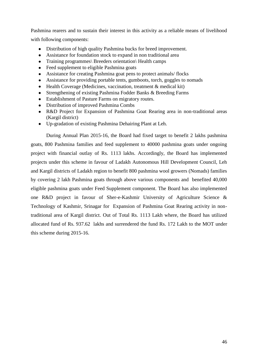Pashmina rearers and to sustain their interest in this activity as a reliable means of livelihood with following components:

- Distribution of high quality Pashmina bucks for breed improvement.
- Assistance for foundation stock to expand in non traditional area
- Training programmes\ Breeders orientation\ Health camps
- Feed supplement to eligible Pashmina goats
- Assistance for creating Pashmina goat pens to protect animals/ flocks  $\bullet$
- Assistance for providing portable tents, gumboots, torch, goggles to nomads  $\bullet$
- Health Coverage (Medicines, vaccination, treatment & medical kit)  $\bullet$
- Strengthening of existing Pashmina Fodder Banks & Breeding Farms  $\bullet$
- $\bullet$ Establishment of Pasture Farms on migratory routes.
- Distribution of improved Pashmina Combs
- R&D Project for Expansion of Pashmina Goat Rearing area in non-traditional areas  $\bullet$ (Kargil district)
- Up-gradation of existing Pashmina Dehairing Plant at Leh.

During Annual Plan 2015-16, the Board had fixed target to benefit 2 lakhs pashmina goats, 800 Pashmina families and feed supplement to 40000 pashmina goats under ongoing project with financial outlay of Rs. 1113 lakhs. Accordingly, the Board has implemented projects under this scheme in favour of Ladakh Autonomous Hill Development Council, Leh and Kargil districts of Ladakh region to benefit 800 pashmina wool growers (Nomads) families by covering 2 lakh Pashmina goats through above various components and benefited 40,000 eligible pashmina goats under Feed Supplement component. The Board has also implemented one R&D project in favour of Sher-e-Kashmir University of Agriculture Science & Technology of Kashmir, Srinagar for Expansion of Pashmina Goat Rearing activity in nontraditional area of Kargil district. Out of Total Rs. 1113 Lakh where, the Board has utilized allocated fund of Rs. 937.62 lakhs and surrendered the fund Rs. 172 Lakh to the MOT under this scheme during 2015-16.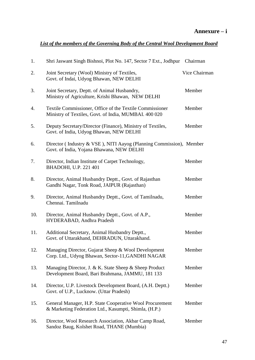### *List of the members of the Governing Body of the Central Wool Development Board*

| 1.  | Shri Jaswant Singh Bishnoi, Plot No. 147, Sector 7 Ext., Jodhpur Chairman                                         |               |
|-----|-------------------------------------------------------------------------------------------------------------------|---------------|
| 2.  | Joint Secretary (Wool) Ministry of Textiles,<br>Govt. of Indai, Udyog Bhawan, NEW DELHI                           | Vice Chairman |
| 3.  | Joint Secretary, Deptt. of Animal Husbandry,<br>Ministry of Agriculture, Krishi Bhawan, NEW DELHI                 | Member        |
| 4.  | Textile Commissioner, Office of the Textile Commissioner<br>Ministry of Textiles, Govt. of India, MUMBAI. 400 020 | Member        |
| 5.  | Deputy Secretary/Director (Finance), Ministry of Textiles,<br>Govt. of India, Udyog Bhawan, NEW DELHI             | Member        |
| 6.  | Director (Industry & VSE), NITI Aayog (Planning Commission), Member<br>Govt. of India, Yojana Bhawana, NEW DELHI  |               |
| 7.  | Director, Indian Institute of Carpet Technology,<br>BHADOHI, U.P. 221 401                                         | Member        |
| 8.  | Director, Animal Husbandry Deptt., Govt. of Rajasthan<br>Gandhi Nagar, Tonk Road, JAIPUR (Rajasthan)              | Member        |
| 9.  | Director, Animal Husbandry Deptt., Govt. of Tamilnadu,<br>Chennai. Tamilnadu                                      | Member        |
| 10. | Director, Animal Husbandry Deptt., Govt. of A.P.,<br>HYDERABAD, Andhra Pradesh                                    | Member        |
| 11. | Additional Secretary, Animal Husbandry Deptt.,<br>Govt. of Uttarakhand, DEHRADUN, Uttarakhand.                    | Member        |
| 12. | Managing Director, Gujarat Sheep & Wool Development<br>Corp. Ltd., Udyog Bhawan, Sector-11, GANDHI NAGAR          | Member        |
| 13. | Managing Director, J. & K. State Sheep & Sheep Product<br>Development Board, Bari Brahmana, JAMMU, 181 133        | Member        |
| 14. | Director, U.P. Livestock Development Board, (A.H. Deptt.)<br>Govt. of U.P., Lucknow. (Uttar Pradesh)              | Member        |
| 15. | General Manager, H.P. State Cooperative Wool Procurement<br>& Marketing Federation Ltd., Kasumpti, Shimla, (H.P.) | Member        |
| 16. | Director, Wool Research Association, Akbar Camp Road,<br>Sandoz Baug, Kolshet Road, THANE (Mumbia)                | Member        |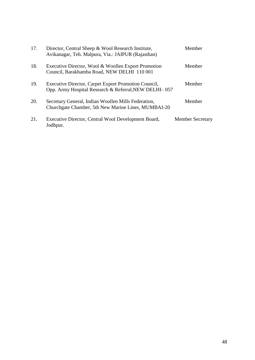| 17. | Director, Central Sheep & Wool Research Institute,<br>Avikanagar, Teh. Malpura, Via.: JAIPUR (Rajasthan)      | Member                  |
|-----|---------------------------------------------------------------------------------------------------------------|-------------------------|
| 18. | Executive Director, Wool & Woollen Export Promotion<br>Council, Barakhamba Road, NEW DELHI 110 001            | Member                  |
| 19. | Executive Director, Carpet Export Promotion Council,<br>Opp. Army Hospital Research & Referral, NEW DELHI-057 | Member                  |
| 20. | Secretary General, Indian Woollen Mills Federation,<br>Churchgate Chamber, 5th New Marine Lines, MUMBAI-20    | Member                  |
| 21. | Executive Director, Central Wool Development Board,<br>Jodhpur.                                               | <b>Member Secretary</b> |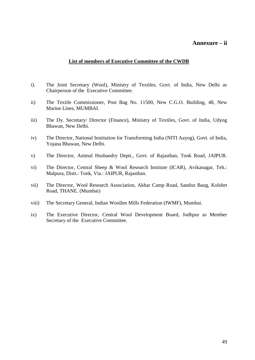#### **Annexure – ii**

#### **List of members of Executive Committee of the CWDB**

- i). The Joint Secretary (Wool), Ministry of Textiles, Govt. of India, New Delhi as Chairperson of the Executive Committee.
- ii) The Textile Commissioner, Post Bag No. 11500, New C.G.O. Building, 48, New Marine Lines, MUMBAI.
- iii) The Dy. Secretary/ Director (Finance), Ministry of Textiles, Govt. of India, Udyog Bhawan, New Delhi.
- iv) The Director, National Institution for Transforming India (NITI Aayog), Govt. of India, Yojana Bhawan, New Delhi.
- v) The Director, Animal Husbandry Deptt., Govt. of Rajasthan, Tonk Road, JAIPUR.
- vi) The Director, Central Sheep & Wool Research Institute (ICAR), Avikanagar, Teh.: Malpura, Distt.: Tonk, Via.: JAIPUR, Rajasthan.
- vii) The Director, Wool Research Association, Akbar Camp Road, Sandoz Baug, Kolshet Road, THANE. (Mumbai)
- viii) The Secretary General, Indian Woollen Mills Federation (IWMF), Mumbai.
- ix) The Executive Director, Central Wool Development Board, Jodhpur as Member Secretary of the Executive Committee.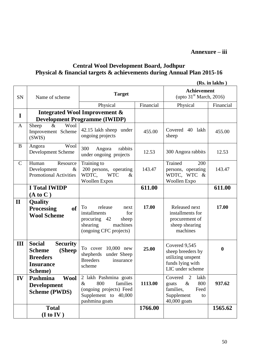**Annexure – iii**

# **Central Wool Development Board, Jodhpur Physical & financial targets & achievements during Annual Plan 2015-16**

|               | (Rs. in lakhs)                                                                                                |                                                                                                                         |           |                                                                                                         |                  |
|---------------|---------------------------------------------------------------------------------------------------------------|-------------------------------------------------------------------------------------------------------------------------|-----------|---------------------------------------------------------------------------------------------------------|------------------|
| SN            | Name of scheme                                                                                                | <b>Target</b>                                                                                                           |           | <b>Achievement</b><br>(upto $31st March, 2016$ )                                                        |                  |
|               |                                                                                                               | Physical                                                                                                                | Financial | Physical                                                                                                | Financial        |
| $\mathbf I$   | <b>Integrated Wool Improvement &amp;</b><br><b>Development Programme (IWIDP)</b>                              |                                                                                                                         |           |                                                                                                         |                  |
| $\mathbf{A}$  | Wool<br>$\&$<br>Sheep<br>Improvement Scheme<br>(SWIS)                                                         | 42.15 lakh sheep under<br>ongoing projects                                                                              | 455.00    | Covered 40 lakh<br>sheep                                                                                | 455.00           |
| B             | Wool<br>Angora<br>Development Scheme                                                                          | 300<br>Angora<br>rabbits<br>under ongoing projects                                                                      | 12.53     | 300 Angora rabbits                                                                                      | 12.53            |
| $\mathcal{C}$ | Resource<br>Human<br>Development<br>$\&$<br><b>Promotional Activities</b>                                     | Training to<br>200 persons, operating<br>WDTC.<br><b>WTC</b><br>$\&$<br><b>Woollen Expos</b>                            | 143.47    | Trained<br>200<br>persons, operating<br>WDTC, WTC &<br>Woollen Expo                                     | 143.47           |
|               | <b>I Total IWIDP</b><br>(A to C)                                                                              |                                                                                                                         | 611.00    |                                                                                                         | 611.00           |
| $\mathbf{I}$  | <b>Quality</b><br><b>Processing</b><br><b>of</b><br><b>Wool Scheme</b>                                        | To<br>release<br>next<br>installments<br>for<br>procuring 42<br>sheep<br>shearing<br>machines<br>(ongoing CFC projects) | 17.00     | Released next<br>installments for<br>procurement of<br>sheep shearing<br>machines                       | 17.00            |
| III           | <b>Social</b><br><b>Security</b><br>(Sheep<br><b>Scheme</b><br><b>Breeders</b><br><b>Insurance</b><br>Scheme) | 10,000 new<br>To cover<br>shepherds<br>under Sheep<br><b>Breeders</b><br>insurance<br>scheme                            | 25.00     | Covered 9,545<br>sheep breeders by<br>utilizing unspent<br>funds lying with<br>LIC under scheme         | $\boldsymbol{0}$ |
| IV            | Pashmina<br><b>Wool</b><br><b>Development</b><br><b>Scheme (PWDS)</b>                                         | 2 lakh Pashmina goats<br>800<br>families<br>$\&$<br>(ongoing projects) Feed<br>Supplement to 40,000<br>pashmina goats   | 1113.00   | 2<br>lakh<br>Covered<br>800<br>$\&$<br>goats<br>families,<br>Feed<br>Supplement<br>to<br>$40,000$ goats | 937.62           |
|               | <b>Total</b><br>(I to IV)                                                                                     |                                                                                                                         | 1766.00   |                                                                                                         | 1565.62          |